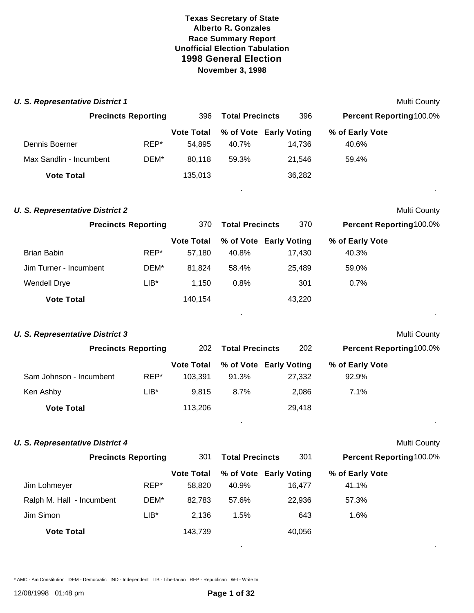| <b>U. S. Representative District 1</b> |        |                              |                        |                                  |                          | Multi County |
|----------------------------------------|--------|------------------------------|------------------------|----------------------------------|--------------------------|--------------|
| <b>Precincts Reporting</b>             |        | 396                          | <b>Total Precincts</b> | 396                              | Percent Reporting 100.0% |              |
|                                        |        | <b>Vote Total</b>            |                        | % of Vote Early Voting           | % of Early Vote          |              |
| Dennis Boerner                         | REP*   | 54,895                       | 40.7%                  | 14,736                           | 40.6%                    |              |
| Max Sandlin - Incumbent                | DEM*   | 80,118                       | 59.3%                  | 21,546                           | 59.4%                    |              |
| <b>Vote Total</b>                      |        | 135,013                      |                        | 36,282                           |                          |              |
| <b>U. S. Representative District 2</b> |        |                              |                        |                                  |                          | Multi County |
| <b>Precincts Reporting</b>             |        | 370                          | <b>Total Precincts</b> | 370                              | Percent Reporting100.0%  |              |
| <b>Brian Babin</b>                     | REP*   | <b>Vote Total</b><br>57,180  | 40.8%                  | % of Vote Early Voting<br>17,430 | % of Early Vote<br>40.3% |              |
| Jim Turner - Incumbent                 | DEM*   | 81,824                       | 58.4%                  | 25,489                           | 59.0%                    |              |
| <b>Wendell Drye</b>                    | $LIB*$ | 1,150                        | 0.8%                   | 301                              | 0.7%                     |              |
| <b>Vote Total</b>                      |        | 140,154                      |                        | 43,220                           |                          |              |
| <b>U. S. Representative District 3</b> |        |                              |                        |                                  |                          | Multi County |
| <b>Precincts Reporting</b>             |        | 202                          | <b>Total Precincts</b> | 202                              | Percent Reporting 100.0% |              |
| Sam Johnson - Incumbent                | REP*   | <b>Vote Total</b><br>103,391 | 91.3%                  | % of Vote Early Voting<br>27,332 | % of Early Vote<br>92.9% |              |
| Ken Ashby                              | $LIB*$ | 9,815                        | 8.7%                   | 2,086                            | 7.1%                     |              |
| <b>Vote Total</b>                      |        | 113,206                      |                        | 29,418                           |                          |              |
| <b>U. S. Representative District 4</b> |        |                              |                        |                                  |                          | Multi County |
| <b>Precincts Reporting</b>             |        | 301                          | <b>Total Precincts</b> | 301                              | Percent Reporting 100.0% |              |
| Jim Lohmeyer                           | REP*   | <b>Vote Total</b><br>58,820  | 40.9%                  | % of Vote Early Voting<br>16,477 | % of Early Vote<br>41.1% |              |
| Ralph M. Hall - Incumbent              | DEM*   | 82,783                       | 57.6%                  | 22,936                           | 57.3%                    |              |
| Jim Simon                              | $LIB*$ | 2,136                        | 1.5%                   | 643                              | 1.6%                     |              |
| <b>Vote Total</b>                      |        | 143,739                      |                        | 40,056                           |                          |              |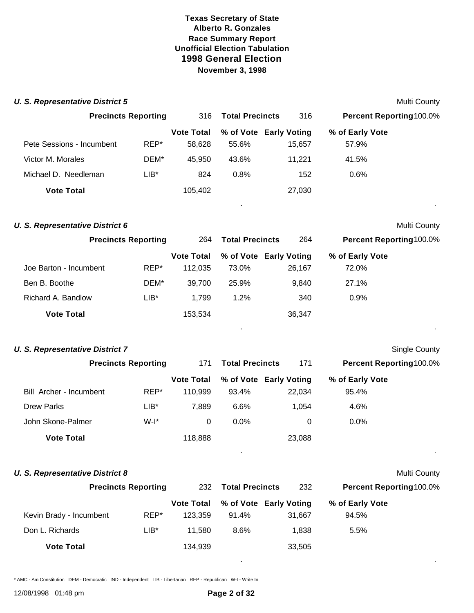| <b>U. S. Representative District 5</b> |                            |                              |                        |                                  |                          | Multi County         |
|----------------------------------------|----------------------------|------------------------------|------------------------|----------------------------------|--------------------------|----------------------|
|                                        | <b>Precincts Reporting</b> | 316                          | <b>Total Precincts</b> | 316                              | Percent Reporting 100.0% |                      |
| Pete Sessions - Incumbent              | REP*                       | <b>Vote Total</b><br>58,628  | 55.6%                  | % of Vote Early Voting<br>15,657 | % of Early Vote<br>57.9% |                      |
| Victor M. Morales                      | DEM*                       | 45,950                       | 43.6%                  | 11,221                           | 41.5%                    |                      |
| Michael D. Needleman                   | $LIB^*$                    | 824                          | 0.8%                   | 152                              | 0.6%                     |                      |
| <b>Vote Total</b>                      |                            | 105,402                      |                        | 27,030                           |                          |                      |
| <b>U. S. Representative District 6</b> |                            |                              |                        |                                  |                          | <b>Multi County</b>  |
| <b>Precincts Reporting</b>             |                            | 264                          | <b>Total Precincts</b> | 264                              | Percent Reporting100.0%  |                      |
| Joe Barton - Incumbent                 | REP*                       | <b>Vote Total</b><br>112,035 | 73.0%                  | % of Vote Early Voting<br>26,167 | % of Early Vote<br>72.0% |                      |
| Ben B. Boothe                          | DEM*                       | 39,700                       | 25.9%                  | 9,840                            | 27.1%                    |                      |
| Richard A. Bandlow                     | $LIB*$                     | 1,799                        | 1.2%                   | 340                              | 0.9%                     |                      |
| <b>Vote Total</b>                      |                            | 153,534                      |                        | 36,347                           |                          |                      |
| <b>U. S. Representative District 7</b> |                            |                              |                        |                                  |                          | <b>Single County</b> |
|                                        | <b>Precincts Reporting</b> | 171                          | <b>Total Precincts</b> | 171                              | Percent Reporting100.0%  |                      |
| Bill Archer - Incumbent                | REP*                       | <b>Vote Total</b><br>110,999 | 93.4%                  | % of Vote Early Voting<br>22,034 | % of Early Vote<br>95.4% |                      |
| <b>Drew Parks</b>                      | LIB*                       | 7,889                        | 6.6%                   | 1,054                            | 4.6%                     |                      |
| John Skone-Palmer                      | $W-I^*$                    | $\mathbf 0$                  | 0.0%                   | 0                                | 0.0%                     |                      |
| <b>Vote Total</b>                      |                            | 118,888                      |                        | 23,088                           |                          |                      |
| <b>U. S. Representative District 8</b> |                            |                              |                        |                                  |                          | <b>Multi County</b>  |
|                                        | <b>Precincts Reporting</b> | 232                          | <b>Total Precincts</b> | 232                              | Percent Reporting 100.0% |                      |
| Kevin Brady - Incumbent                | REP*                       | <b>Vote Total</b><br>123,359 | 91.4%                  | % of Vote Early Voting<br>31,667 | % of Early Vote<br>94.5% |                      |
| Don L. Richards                        | LIB*                       | 11,580                       | 8.6%                   | 1,838                            | 5.5%                     |                      |
| <b>Vote Total</b>                      |                            | 134,939                      |                        | 33,505                           |                          |                      |

\* AMC - Am Constitution DEM - Democratic IND - Independent LIB - Libertarian REP - Republican W-I - Write In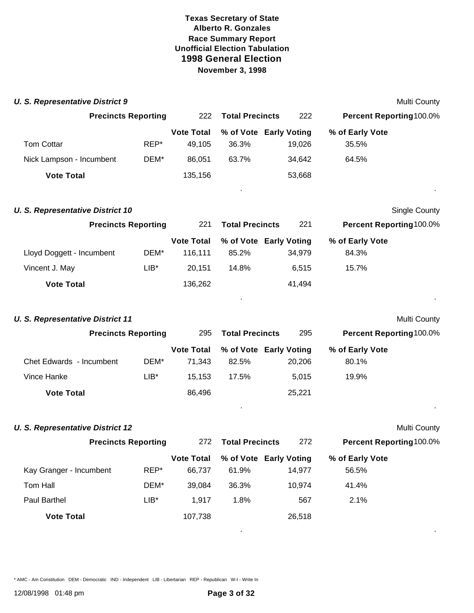|                            |                                                                                                                                                                                                                                                                   |       |        |                                                                                                                                                                                                              | Multi County                                                                                             |
|----------------------------|-------------------------------------------------------------------------------------------------------------------------------------------------------------------------------------------------------------------------------------------------------------------|-------|--------|--------------------------------------------------------------------------------------------------------------------------------------------------------------------------------------------------------------|----------------------------------------------------------------------------------------------------------|
|                            | 222                                                                                                                                                                                                                                                               |       | 222    |                                                                                                                                                                                                              |                                                                                                          |
| REP*                       | <b>Vote Total</b><br>49,105                                                                                                                                                                                                                                       | 36.3% | 19,026 | % of Early Vote<br>35.5%                                                                                                                                                                                     |                                                                                                          |
| DEM*                       | 86,051                                                                                                                                                                                                                                                            | 63.7% | 34,642 | 64.5%                                                                                                                                                                                                        |                                                                                                          |
|                            | 135,156                                                                                                                                                                                                                                                           |       | 53,668 |                                                                                                                                                                                                              |                                                                                                          |
|                            |                                                                                                                                                                                                                                                                   |       |        |                                                                                                                                                                                                              | Single County                                                                                            |
| <b>Precincts Reporting</b> |                                                                                                                                                                                                                                                                   |       | 221    |                                                                                                                                                                                                              |                                                                                                          |
| DEM*                       | <b>Vote Total</b><br>116,111                                                                                                                                                                                                                                      | 85.2% | 34,979 | % of Early Vote<br>84.3%                                                                                                                                                                                     |                                                                                                          |
| $LIB*$                     | 20,151                                                                                                                                                                                                                                                            | 14.8% | 6,515  | 15.7%                                                                                                                                                                                                        |                                                                                                          |
|                            | 136,262                                                                                                                                                                                                                                                           |       | 41,494 |                                                                                                                                                                                                              |                                                                                                          |
|                            |                                                                                                                                                                                                                                                                   |       |        |                                                                                                                                                                                                              | Multi County                                                                                             |
|                            | 295                                                                                                                                                                                                                                                               |       | 295    |                                                                                                                                                                                                              |                                                                                                          |
| DEM*                       | <b>Vote Total</b><br>71,343                                                                                                                                                                                                                                       | 82.5% | 20,206 | % of Early Vote<br>80.1%                                                                                                                                                                                     |                                                                                                          |
| LIB*                       | 15,153                                                                                                                                                                                                                                                            | 17.5% | 5,015  | 19.9%                                                                                                                                                                                                        |                                                                                                          |
|                            | 86,496                                                                                                                                                                                                                                                            |       | 25,221 |                                                                                                                                                                                                              |                                                                                                          |
|                            |                                                                                                                                                                                                                                                                   |       |        |                                                                                                                                                                                                              | Multi County                                                                                             |
|                            | 272                                                                                                                                                                                                                                                               |       | 272    |                                                                                                                                                                                                              |                                                                                                          |
| REP*                       | <b>Vote Total</b><br>66,737                                                                                                                                                                                                                                       | 61.9% | 14,977 | % of Early Vote<br>56.5%                                                                                                                                                                                     |                                                                                                          |
| DEM*                       | 39,084                                                                                                                                                                                                                                                            | 36.3% | 10,974 | 41.4%                                                                                                                                                                                                        |                                                                                                          |
| $LIB^*$                    | 1,917                                                                                                                                                                                                                                                             | 1.8%  | 567    | 2.1%                                                                                                                                                                                                         |                                                                                                          |
|                            | 107,738                                                                                                                                                                                                                                                           |       | 26,518 |                                                                                                                                                                                                              |                                                                                                          |
|                            | <b>U. S. Representative District 9</b><br><b>Precincts Reporting</b><br><b>U. S. Representative District 10</b><br><b>U. S. Representative District 11</b><br><b>Precincts Reporting</b><br><b>U. S. Representative District 12</b><br><b>Precincts Reporting</b> | 221   |        | <b>Total Precincts</b><br>% of Vote Early Voting<br><b>Total Precincts</b><br>% of Vote Early Voting<br><b>Total Precincts</b><br>% of Vote Early Voting<br><b>Total Precincts</b><br>% of Vote Early Voting | Percent Reporting100.0%<br>Percent Reporting100.0%<br>Percent Reporting100.0%<br>Percent Reporting100.0% |

\* AMC - Am Constitution DEM - Democratic IND - Independent LIB - Libertarian REP - Republican W-I - Write In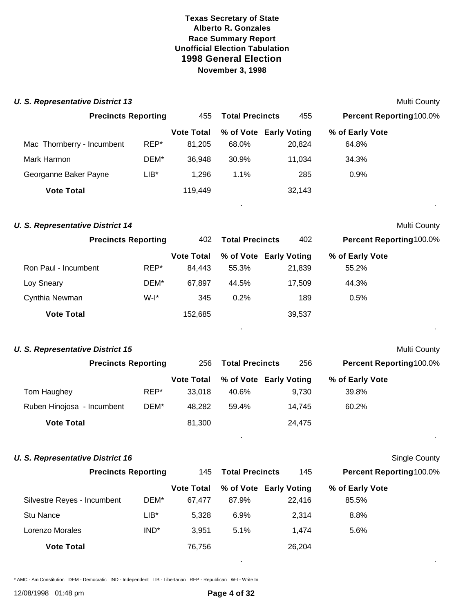| <b>U. S. Representative District 13</b> |      |                   |                        |                        |                                | Multi County |
|-----------------------------------------|------|-------------------|------------------------|------------------------|--------------------------------|--------------|
| <b>Precincts Reporting</b>              |      | 455               | <b>Total Precincts</b> | 455                    | <b>Percent Reporting100.0%</b> |              |
|                                         |      | <b>Vote Total</b> |                        | % of Vote Early Voting | % of Early Vote                |              |
| Mac Thornberry - Incumbent              | REP* | 81,205            | 68.0%                  | 20,824                 | 64.8%                          |              |
| Mark Harmon                             | DEM* | 36,948            | 30.9%                  | 11,034                 | 34.3%                          |              |
| Georganne Baker Payne                   | LIB* | 1,296             | 1.1%                   | 285                    | 0.9%                           |              |
| <b>Vote Total</b>                       |      | 119,449           |                        | 32,143                 |                                |              |
| <b>U. S. Representative District 14</b> |      |                   |                        |                        |                                | Multi County |
| <b>Precincts Reporting</b>              |      | 402               | <b>Total Precincts</b> | 402                    | <b>Percent Reporting100.0%</b> |              |
|                                         |      | <b>Vote Total</b> |                        | % of Vote Early Voting | % of Early Vote                |              |
| Ron Paul - Incumbent                    | REP* | 84,443            | 55.3%                  | 21,839                 | 55.2%                          |              |
| Loy Sneary                              | DEM* | 67,897            | 44.5%                  | 17,509                 | 44.3%                          |              |
| Cynthia Newman                          | W-I* | 345               | 0.2%                   | 189                    | 0.5%                           |              |
| <b>Vote Total</b>                       |      | 152,685           |                        | 39,537                 |                                |              |
| <b>U. S. Representative District 15</b> |      |                   |                        |                        |                                | Multi County |

|                            | <b>Precincts Reporting</b> |      | 256               | <b>Total Precincts</b> | 256                    | Percent Reporting 100.0% |
|----------------------------|----------------------------|------|-------------------|------------------------|------------------------|--------------------------|
|                            |                            |      | <b>Vote Total</b> |                        | % of Vote Early Voting | % of Early Vote          |
| Tom Haughey                |                            | REP* | 33.018            | 40.6%                  | 9.730                  | 39.8%                    |
| Ruben Hinojosa - Incumbent |                            | DEM* | 48.282            | 59.4%                  | 14.745                 | 60.2%                    |
| <b>Vote Total</b>          |                            |      | 81,300            |                        | 24.475                 |                          |

#### **U. S. Representative District 16** Single County

|                             | <b>Precincts Reporting</b> |                   | <b>Total Precincts</b> | 145                    | <b>Percent Reporting100.0%</b> |  |
|-----------------------------|----------------------------|-------------------|------------------------|------------------------|--------------------------------|--|
|                             |                            | <b>Vote Total</b> |                        | % of Vote Early Voting | % of Early Vote                |  |
| Silvestre Reyes - Incumbent | DEM*                       | 67.477            | 87.9%                  | 22.416                 | 85.5%                          |  |
| Stu Nance                   | LIB*                       | 5.328             | 6.9%                   | 2.314                  | 8.8%                           |  |
| Lorenzo Morales             | IND <sup>*</sup>           | 3.951             | 5.1%                   | 1.474                  | 5.6%                           |  |
| <b>Vote Total</b>           |                            | 76,756            |                        | 26,204                 |                                |  |

. .

. .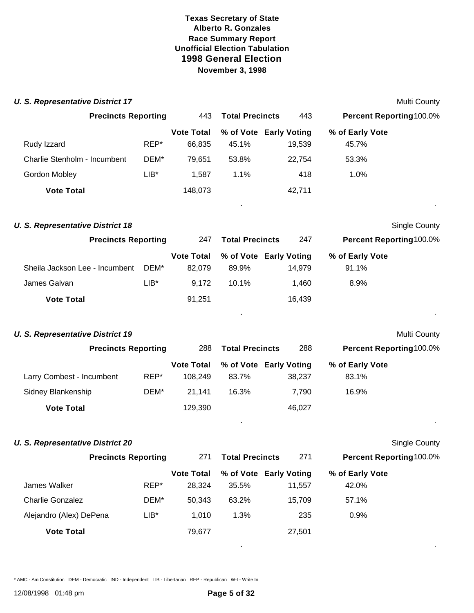| <b>U. S. Representative District 17</b> |         |                              |                        |                                  |                                | Multi County         |
|-----------------------------------------|---------|------------------------------|------------------------|----------------------------------|--------------------------------|----------------------|
| <b>Precincts Reporting</b>              |         | 443                          | <b>Total Precincts</b> | 443                              | Percent Reporting100.0%        |                      |
| Rudy Izzard                             | REP*    | <b>Vote Total</b><br>66,835  | 45.1%                  | % of Vote Early Voting<br>19,539 | % of Early Vote<br>45.7%       |                      |
| Charlie Stenholm - Incumbent            | DEM*    | 79,651                       | 53.8%                  | 22,754                           | 53.3%                          |                      |
| Gordon Mobley                           | $LIB*$  | 1,587                        | 1.1%                   | 418                              | 1.0%                           |                      |
| <b>Vote Total</b>                       |         | 148,073                      |                        | 42,711                           |                                |                      |
|                                         |         |                              |                        |                                  |                                |                      |
| <b>U. S. Representative District 18</b> |         |                              |                        |                                  |                                | <b>Single County</b> |
| <b>Precincts Reporting</b>              |         | 247                          | <b>Total Precincts</b> | 247                              | Percent Reporting100.0%        |                      |
| Sheila Jackson Lee - Incumbent          | DEM*    | <b>Vote Total</b><br>82,079  | 89.9%                  | % of Vote Early Voting<br>14,979 | % of Early Vote<br>91.1%       |                      |
| James Galvan                            | $LIB*$  | 9,172                        | 10.1%                  | 1,460                            | 8.9%                           |                      |
| <b>Vote Total</b>                       |         | 91,251                       |                        | 16,439                           |                                |                      |
| <b>U. S. Representative District 19</b> |         |                              |                        |                                  |                                | Multi County         |
| <b>Precincts Reporting</b>              |         | 288                          | <b>Total Precincts</b> | 288                              | <b>Percent Reporting100.0%</b> |                      |
| Larry Combest - Incumbent               | REP*    | <b>Vote Total</b><br>108,249 | 83.7%                  | % of Vote Early Voting<br>38,237 | % of Early Vote<br>83.1%       |                      |
| Sidney Blankenship                      | DEM*    | 21,141                       | 16.3%                  | 7,790                            | 16.9%                          |                      |
| <b>Vote Total</b>                       |         | 129,390                      |                        | 46,027                           |                                |                      |
| <b>U. S. Representative District 20</b> |         |                              |                        |                                  |                                |                      |
| <b>Precincts Reporting</b>              |         | 271                          | <b>Total Precincts</b> | 271                              | Percent Reporting100.0%        | Single County        |
|                                         |         | <b>Vote Total</b>            |                        | % of Vote Early Voting           | % of Early Vote                |                      |
| James Walker                            | REP*    | 28,324                       | 35.5%                  | 11,557                           | 42.0%                          |                      |
| <b>Charlie Gonzalez</b>                 | DEM*    | 50,343                       | 63.2%                  | 15,709                           | 57.1%                          |                      |
| Alejandro (Alex) DePena                 | $LIB^*$ | 1,010                        | 1.3%                   | 235                              | 0.9%                           |                      |
| <b>Vote Total</b>                       |         | 79,677                       |                        | 27,501                           |                                |                      |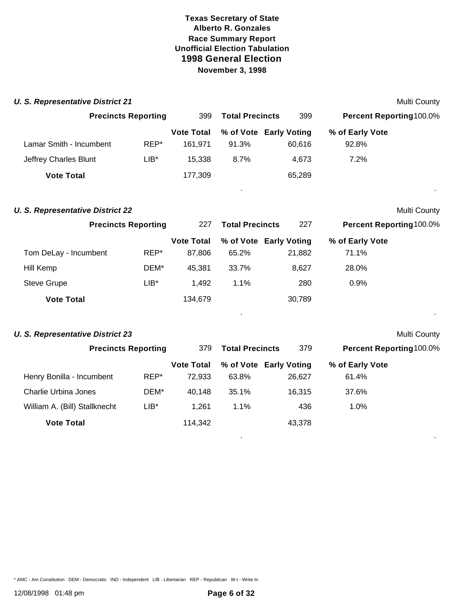**U. S. Representative District 21** Multi County

| <b>Precincts Reporting</b>              |         | 399               | <b>Total Precincts</b> | 399                    | Percent Reporting100.0% |                     |
|-----------------------------------------|---------|-------------------|------------------------|------------------------|-------------------------|---------------------|
|                                         |         | <b>Vote Total</b> |                        | % of Vote Early Voting | % of Early Vote         |                     |
| Lamar Smith - Incumbent                 | REP*    | 161,971           | 91.3%                  | 60,616                 | 92.8%                   |                     |
| Jeffrey Charles Blunt                   | $LIB*$  | 15,338            | 8.7%                   | 4,673                  | 7.2%                    |                     |
| <b>Vote Total</b>                       |         | 177,309           |                        | 65,289                 |                         |                     |
| <b>U. S. Representative District 22</b> |         |                   |                        |                        |                         | <b>Multi County</b> |
| <b>Precincts Reporting</b>              |         | 227               | <b>Total Precincts</b> | 227                    | Percent Reporting100.0% |                     |
|                                         |         | <b>Vote Total</b> |                        | % of Vote Early Voting | % of Early Vote         |                     |
| Tom DeLay - Incumbent                   | REP*    | 87,806            | 65.2%                  | 21,882                 | 71.1%                   |                     |
| Hill Kemp                               | DEM*    | 45,381            | 33.7%                  | 8,627                  | 28.0%                   |                     |
| <b>Steve Grupe</b>                      | $LIB*$  | 1,492             | 1.1%                   | 280                    | 0.9%                    |                     |
| <b>Vote Total</b>                       |         | 134,679           |                        | 30,789                 |                         |                     |
| <b>U. S. Representative District 23</b> |         |                   |                        |                        |                         | Multi County        |
| <b>Precincts Reporting</b>              |         | 379               | <b>Total Precincts</b> | 379                    | Percent Reporting100.0% |                     |
|                                         |         | <b>Vote Total</b> |                        | % of Vote Early Voting | % of Early Vote         |                     |
| Henry Bonilla - Incumbent               | REP*    | 72,933            | 63.8%                  | 26,627                 | 61.4%                   |                     |
| <b>Charlie Urbina Jones</b>             | DEM*    | 40,148            | 35.1%                  | 16,315                 | 37.6%                   |                     |
| William A. (Bill) Stallknecht           | $LIB^*$ | 1,261             | 1.1%                   | 436                    | 1.0%                    |                     |
| <b>Vote Total</b>                       |         | 114,342           |                        | 43,378                 |                         |                     |

\* AMC - Am Constitution DEM - Democratic IND - Independent LIB - Libertarian REP - Republican W-I - Write In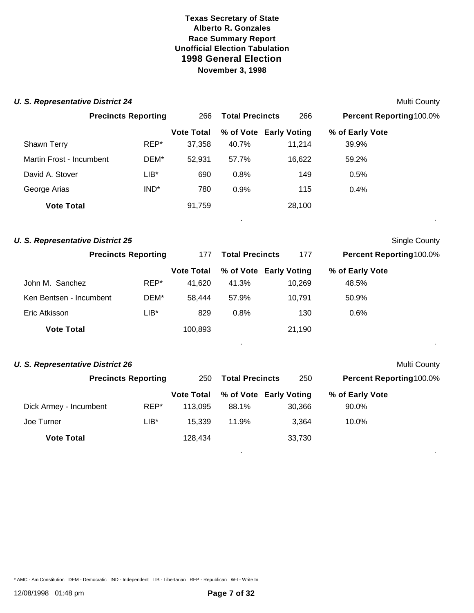| <b>U. S. Representative District 24</b> |                            |                   |                        |                        |                          | Multi County         |
|-----------------------------------------|----------------------------|-------------------|------------------------|------------------------|--------------------------|----------------------|
|                                         | <b>Precincts Reporting</b> | 266               | <b>Total Precincts</b> | 266                    | Percent Reporting100.0%  |                      |
|                                         |                            | <b>Vote Total</b> |                        | % of Vote Early Voting | % of Early Vote          |                      |
| Shawn Terry                             | REP*                       | 37,358            | 40.7%                  | 11,214                 | 39.9%                    |                      |
| Martin Frost - Incumbent                | DEM*                       | 52,931            | 57.7%                  | 16,622                 | 59.2%                    |                      |
| David A. Stover                         | $LIB*$                     | 690               | 0.8%                   | 149                    | 0.5%                     |                      |
| George Arias                            | IND <sup>*</sup>           | 780               | 0.9%                   | 115                    | 0.4%                     |                      |
| <b>Vote Total</b>                       |                            | 91,759            |                        | 28,100                 |                          |                      |
| <b>U. S. Representative District 25</b> |                            |                   |                        |                        |                          | <b>Single County</b> |
| <b>Precincts Reporting</b>              |                            | 177               | <b>Total Precincts</b> | 177                    | Percent Reporting 100.0% |                      |
|                                         |                            | <b>Vote Total</b> |                        | % of Vote Early Voting | % of Early Vote          |                      |
| John M. Sanchez                         | REP*                       | 41,620            | 41.3%                  | 10,269                 | 48.5%                    |                      |
| Ken Bentsen - Incumbent                 | DEM*                       | 58,444            | 57.9%                  | 10,791                 | 50.9%                    |                      |
| Eric Atkisson                           | $LIB*$                     | 829               | 0.8%                   | 130                    | 0.6%                     |                      |
| <b>Vote Total</b>                       |                            | 100,893           |                        | 21,190                 |                          |                      |
| <b>U. S. Representative District 26</b> |                            |                   |                        |                        |                          | Multi County         |
|                                         | <b>Precincts Reporting</b> | 250               | <b>Total Precincts</b> | 250                    | Percent Reporting100.0%  |                      |
|                                         |                            | <b>Vote Total</b> |                        | % of Vote Early Voting | % of Early Vote          |                      |
| Dick Armey - Incumbent                  | REP*                       | 113,095           | 88.1%                  | 30,366                 | 90.0%                    |                      |
| Joe Turner                              | $LIB*$                     | 15,339            | 11.9%                  | 3,364                  | 10.0%                    |                      |
| <b>Vote Total</b>                       |                            | 128,434           |                        | 33,730                 |                          |                      |

\* AMC - Am Constitution DEM - Democratic IND - Independent LIB - Libertarian REP - Republican W-I - Write In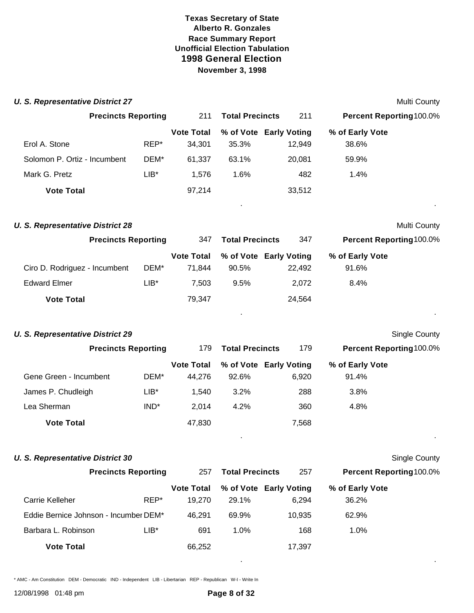| <b>U. S. Representative District 27</b> |                            |                  |                             |                        |                                  |                          | Multi County         |
|-----------------------------------------|----------------------------|------------------|-----------------------------|------------------------|----------------------------------|--------------------------|----------------------|
|                                         | <b>Precincts Reporting</b> |                  | 211                         | <b>Total Precincts</b> | 211                              | Percent Reporting100.0%  |                      |
| Erol A. Stone                           |                            | REP*             | <b>Vote Total</b><br>34,301 | 35.3%                  | % of Vote Early Voting<br>12,949 | % of Early Vote<br>38.6% |                      |
| Solomon P. Ortiz - Incumbent            |                            | DEM*             | 61,337                      | 63.1%                  | 20,081                           | 59.9%                    |                      |
| Mark G. Pretz                           |                            | $LIB*$           | 1,576                       | 1.6%                   | 482                              | 1.4%                     |                      |
| <b>Vote Total</b>                       |                            |                  | 97,214                      |                        | 33,512                           |                          |                      |
|                                         |                            |                  |                             |                        |                                  |                          |                      |
| <b>U. S. Representative District 28</b> |                            |                  |                             |                        |                                  |                          | Multi County         |
|                                         | <b>Precincts Reporting</b> |                  | 347                         | <b>Total Precincts</b> | 347                              | Percent Reporting100.0%  |                      |
| Ciro D. Rodriguez - Incumbent           |                            | DEM*             | <b>Vote Total</b><br>71,844 | 90.5%                  | % of Vote Early Voting<br>22,492 | % of Early Vote<br>91.6% |                      |
| <b>Edward Elmer</b>                     |                            | $LIB*$           | 7,503                       | 9.5%                   | 2,072                            | 8.4%                     |                      |
| <b>Vote Total</b>                       |                            |                  | 79,347                      |                        | 24,564                           |                          |                      |
| <b>U. S. Representative District 29</b> |                            |                  |                             |                        |                                  |                          | <b>Single County</b> |
|                                         | <b>Precincts Reporting</b> |                  | 179                         | <b>Total Precincts</b> | 179                              | Percent Reporting 100.0% |                      |
|                                         |                            |                  | <b>Vote Total</b>           |                        | % of Vote Early Voting           | % of Early Vote          |                      |
| Gene Green - Incumbent                  |                            | DEM*             | 44,276                      | 92.6%                  | 6,920                            | 91.4%                    |                      |
| James P. Chudleigh                      |                            | $LIB^*$          | 1,540                       | 3.2%                   | 288                              | 3.8%                     |                      |
| Lea Sherman                             |                            | IND <sup>*</sup> | 2,014                       | 4.2%                   | 360                              | 4.8%                     |                      |
| <b>Vote Total</b>                       |                            |                  | 47,830                      |                        | 7,568                            |                          |                      |
| <b>U. S. Representative District 30</b> |                            |                  |                             |                        |                                  |                          | Single County        |
|                                         | <b>Precincts Reporting</b> |                  | 257                         | <b>Total Precincts</b> | 257                              | Percent Reporting 100.0% |                      |
|                                         |                            |                  | <b>Vote Total</b>           |                        | % of Vote Early Voting           | % of Early Vote          |                      |
| Carrie Kelleher                         |                            | REP*             | 19,270                      | 29.1%                  | 6,294                            | 36.2%                    |                      |
| Eddie Bernice Johnson - Incumber DEM*   |                            |                  | 46,291                      | 69.9%                  | 10,935                           | 62.9%                    |                      |
| Barbara L. Robinson                     |                            | $LIB*$           | 691                         | 1.0%                   | 168                              | 1.0%                     |                      |
| <b>Vote Total</b>                       |                            |                  | 66,252                      |                        | 17,397                           |                          |                      |

\* AMC - Am Constitution DEM - Democratic IND - Independent LIB - Libertarian REP - Republican W-I - Write In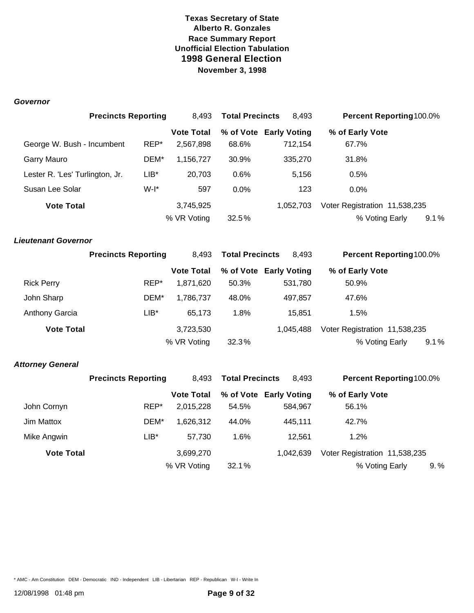#### *Governor*

|                                 | <b>Precincts Reporting</b> |         | 8,493             | <b>Total Precincts</b> | 8,493                  | Percent Reporting 100.0%      |      |  |
|---------------------------------|----------------------------|---------|-------------------|------------------------|------------------------|-------------------------------|------|--|
|                                 |                            |         | <b>Vote Total</b> |                        | % of Vote Early Voting | % of Early Vote               |      |  |
| George W. Bush - Incumbent      |                            | REP*    | 2,567,898         | 68.6%                  | 712,154                | 67.7%                         |      |  |
| Garry Mauro                     |                            | DEM*    | 1,156,727         | 30.9%                  | 335,270                | 31.8%                         |      |  |
| Lester R. 'Les' Turlington, Jr. |                            | $LIB*$  | 20,703            | 0.6%                   | 5,156                  | 0.5%                          |      |  |
| Susan Lee Solar                 |                            | $W-I^*$ | 597               | 0.0%                   | 123                    | 0.0%                          |      |  |
| <b>Vote Total</b>               |                            |         | 3,745,925         |                        | 1,052,703              | Voter Registration 11,538,235 |      |  |
|                                 |                            |         | % VR Voting       | 32.5%                  |                        | % Voting Early                | 9.1% |  |
| <b>Lieutenant Governor</b>      |                            |         |                   |                        |                        |                               |      |  |
|                                 | <b>Precincts Reporting</b> |         | 8,493             | <b>Total Precincts</b> | 8,493                  | Percent Reporting 100.0%      |      |  |
|                                 |                            |         | <b>Vote Total</b> |                        | % of Vote Early Voting | % of Early Vote               |      |  |
| <b>Rick Perry</b>               |                            | REP*    | 1,871,620         | 50.3%                  | 531,780                | 50.9%                         |      |  |
| John Sharp                      |                            | DEM*    | 1,786,737         | 48.0%                  | 497,857                | 47.6%                         |      |  |
| <b>Anthony Garcia</b>           |                            | $LIB*$  | 65,173            | 1.8%                   | 15,851                 | 1.5%                          |      |  |
| <b>Vote Total</b>               |                            |         | 3,723,530         |                        | 1,045,488              | Voter Registration 11,538,235 |      |  |
|                                 |                            |         | % VR Voting       | 32.3%                  |                        | % Voting Early                | 9.1% |  |
| <b>Attorney General</b>         |                            |         |                   |                        |                        |                               |      |  |
|                                 | <b>Precincts Reporting</b> |         | 8,493             | <b>Total Precincts</b> | 8,493                  | Percent Reporting100.0%       |      |  |
|                                 |                            |         | <b>Vote Total</b> |                        | % of Vote Early Voting | % of Early Vote               |      |  |
| John Cornyn                     |                            | REP*    | 2,015,228         | 54.5%                  | 584,967                | 56.1%                         |      |  |
| Jim Mattox                      |                            | DEM*    | 1,626,312         | 44.0%                  | 445,111                | 42.7%                         |      |  |
| Mike Angwin                     |                            | $LIB*$  | 57,730            | 1.6%                   | 12,561                 | 1.2%                          |      |  |
| <b>Vote Total</b>               |                            |         | 3,699,270         |                        | 1,042,639              | Voter Registration 11,538,235 |      |  |
|                                 |                            |         | % VR Voting       | 32.1%                  |                        | % Voting Early                | 9. % |  |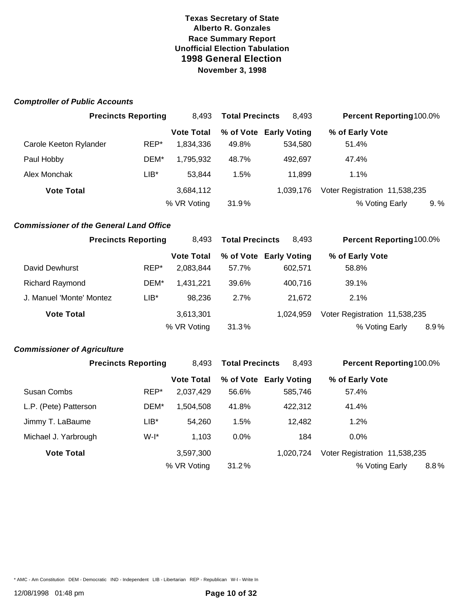| <b>Comptroller of Public Accounts</b> |  |  |
|---------------------------------------|--|--|
|---------------------------------------|--|--|

|                        | <b>Precincts Reporting</b> | 8.493             | <b>Total Precincts</b> | 8.493                  | <b>Percent Reporting 100.0%</b> |      |
|------------------------|----------------------------|-------------------|------------------------|------------------------|---------------------------------|------|
|                        |                            | <b>Vote Total</b> |                        | % of Vote Early Voting | % of Early Vote                 |      |
| Carole Keeton Rylander | REP*                       | 1.834.336         | 49.8%                  | 534.580                | 51.4%                           |      |
| Paul Hobby             | DEM*                       | 1,795,932         | 48.7%                  | 492.697                | 47.4%                           |      |
| Alex Monchak           | $LIB^*$                    | 53.844            | 1.5%                   | 11.899                 | $1.1\%$                         |      |
| <b>Vote Total</b>      |                            | 3,684,112         |                        | 1.039.176              | Voter Registration 11,538,235   |      |
|                        |                            | % VR Voting       | 31.9%                  |                        | % Voting Early                  | 9. % |

#### *Commissioner of the General Land Office*

|                          | <b>Precincts Reporting</b> | 8.493             | <b>Total Precincts</b><br>8.493 |                        | <b>Percent Reporting100.0%</b> |         |
|--------------------------|----------------------------|-------------------|---------------------------------|------------------------|--------------------------------|---------|
|                          |                            | <b>Vote Total</b> |                                 | % of Vote Early Voting | % of Early Vote                |         |
| David Dewhurst           | REP*                       | 2,083,844         | 57.7%                           | 602.571                | 58.8%                          |         |
| <b>Richard Raymond</b>   | DEM*                       | 1.431.221         | 39.6%                           | 400.716                | 39.1%                          |         |
| J. Manuel 'Monte' Montez | LIB*                       | 98.236            | 2.7%                            | 21.672                 | $2.1\%$                        |         |
| <b>Vote Total</b>        |                            | 3,613,301         |                                 | 1.024.959              | Voter Registration 11,538,235  |         |
|                          |                            | % VR Voting       | 31.3%                           |                        | % Voting Early                 | $8.9\%$ |

#### *Commissioner of Agriculture*

|                       | <b>Precincts Reporting</b> |                   | <b>Total Precincts</b> | 8.493                  | <b>Percent Reporting100.0%</b> |  |
|-----------------------|----------------------------|-------------------|------------------------|------------------------|--------------------------------|--|
|                       |                            | <b>Vote Total</b> |                        | % of Vote Early Voting | % of Early Vote                |  |
| Susan Combs           | REP*                       | 2,037,429         | 56.6%                  | 585,746                | 57.4%                          |  |
| L.P. (Pete) Patterson | DEM*                       | 1,504,508         | 41.8%                  | 422,312                | 41.4%                          |  |
| Jimmy T. LaBaume      | LIB*                       | 54.260            | 1.5%                   | 12.482                 | 1.2%                           |  |
| Michael J. Yarbrough  | $W-I^*$                    | 1,103             | 0.0%                   | 184                    | $0.0\%$                        |  |
| <b>Vote Total</b>     |                            | 3,597,300         |                        | 1.020.724              | Voter Registration 11,538,235  |  |
|                       |                            | % VR Voting       | 31.2%                  |                        | 8.8%<br>% Voting Early         |  |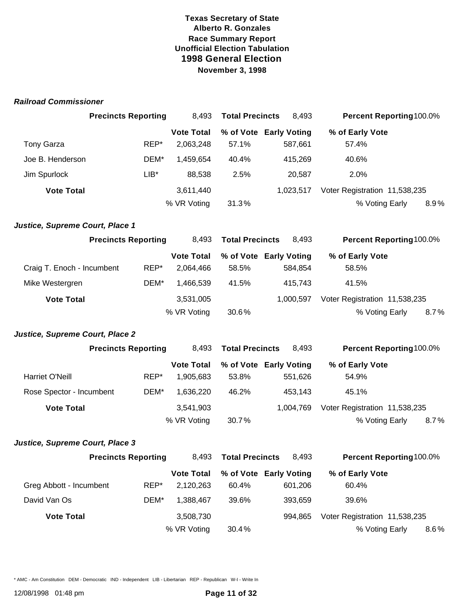#### *Railroad Commissioner*

|                                 | <b>Precincts Reporting</b> | 8,493                          | <b>Total Precincts</b><br>8,493 |                                   | Percent Reporting 100.0%       |      |
|---------------------------------|----------------------------|--------------------------------|---------------------------------|-----------------------------------|--------------------------------|------|
|                                 |                            | <b>Vote Total</b>              |                                 | % of Vote Early Voting            | % of Early Vote                |      |
| <b>Tony Garza</b>               | REP*                       | 2,063,248                      | 57.1%                           | 587,661                           | 57.4%                          |      |
| Joe B. Henderson                | DEM*                       | 1,459,654                      | 40.4%                           | 415,269                           | 40.6%                          |      |
| Jim Spurlock                    | $LIB*$                     | 88,538                         | 2.5%                            | 20,587                            | 2.0%                           |      |
| <b>Vote Total</b>               |                            | 3,611,440                      |                                 | 1,023,517                         | Voter Registration 11,538,235  |      |
|                                 |                            | % VR Voting                    | 31.3%                           |                                   | % Voting Early                 | 8.9% |
| Justice, Supreme Court, Place 1 |                            |                                |                                 |                                   |                                |      |
|                                 | <b>Precincts Reporting</b> | 8,493                          | <b>Total Precincts</b>          | 8,493                             | Percent Reporting100.0%        |      |
| Craig T. Enoch - Incumbent      | REP*                       | <b>Vote Total</b><br>2,064,466 | 58.5%                           | % of Vote Early Voting<br>584,854 | % of Early Vote<br>58.5%       |      |
| Mike Westergren                 | DEM*                       | 1,466,539                      | 41.5%                           | 415,743                           | 41.5%                          |      |
| <b>Vote Total</b>               |                            | 3,531,005                      |                                 | 1,000,597                         | Voter Registration 11,538,235  |      |
|                                 |                            | % VR Voting                    | 30.6%                           |                                   | % Voting Early                 | 8.7% |
| Justice, Supreme Court, Place 2 |                            |                                |                                 |                                   |                                |      |
|                                 | <b>Precincts Reporting</b> | 8,493                          | <b>Total Precincts</b>          | 8,493                             | Percent Reporting 100.0%       |      |
|                                 |                            | <b>Vote Total</b>              |                                 | % of Vote Early Voting            | % of Early Vote                |      |
| Harriet O'Neill                 | REP*                       | 1,905,683                      | 53.8%                           | 551,626                           | 54.9%                          |      |
| Rose Spector - Incumbent        | DEM*                       | 1,636,220                      | 46.2%                           | 453,143                           | 45.1%                          |      |
| <b>Vote Total</b>               |                            | 3,541,903                      |                                 | 1,004,769                         | Voter Registration 11,538,235  |      |
|                                 |                            | % VR Voting                    | 30.7%                           |                                   | % Voting Early                 | 8.7% |
| Justice, Supreme Court, Place 3 |                            |                                |                                 |                                   |                                |      |
|                                 | <b>Precincts Reporting</b> |                                | 8,493 Total Precincts           | 8,493                             | <b>Percent Reporting100.0%</b> |      |
|                                 |                            | <b>Vote Total</b>              |                                 | % of Vote Early Voting            | % of Early Vote                |      |
| Greg Abbott - Incumbent         | REP*                       | 2,120,263                      | 60.4%                           | 601,206                           | 60.4%                          |      |
| David Van Os                    | DEM*                       | 1,388,467                      | 39.6%                           | 393,659                           | 39.6%                          |      |
| <b>Vote Total</b>               |                            | 3,508,730                      |                                 | 994,865                           | Voter Registration 11,538,235  |      |
|                                 |                            | % VR Voting                    | 30.4%                           |                                   | % Voting Early                 | 8.6% |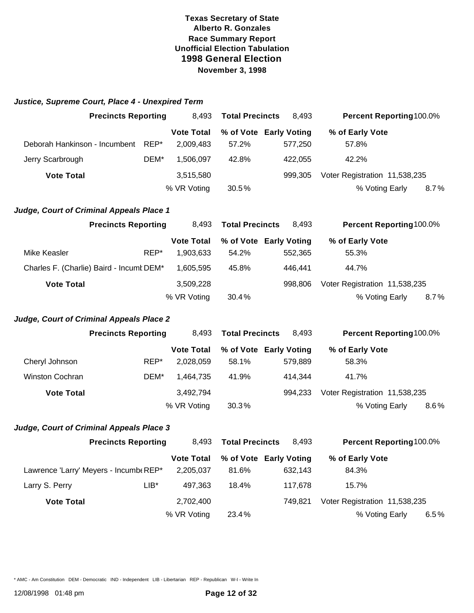| Justice, Supreme Court, Place 4 - Unexpired Term |  |  |  |
|--------------------------------------------------|--|--|--|
|                                                  |  |  |  |

|                               | <b>Precincts Reporting</b> |                   | <b>Total Precincts</b><br>8.493 |                        | <b>Percent Reporting100.0%</b> |
|-------------------------------|----------------------------|-------------------|---------------------------------|------------------------|--------------------------------|
|                               |                            | <b>Vote Total</b> |                                 | % of Vote Early Voting | % of Early Vote                |
| Deborah Hankinson - Incumbent | REP*                       | 2.009.483         | 57.2%                           | 577.250                | 57.8%                          |
| Jerry Scarbrough              | DEM*                       | 1,506,097         | 42.8%                           | 422.055                | 42.2%                          |
| <b>Vote Total</b>             |                            | 3,515,580         |                                 | 999.305                | Voter Registration 11,538,235  |
|                               |                            | % VR Voting       | 30.5%                           |                        | % Voting Early<br>8.7%         |

#### *Judge, Court of Criminal Appeals Place 1*

|                   | <b>Precincts Reporting</b>               | <b>Total Precincts</b><br>8.493 |       | 8.493                  | <b>Percent Reporting100.0%</b> |  |
|-------------------|------------------------------------------|---------------------------------|-------|------------------------|--------------------------------|--|
|                   |                                          | <b>Vote Total</b>               |       | % of Vote Early Voting | % of Early Vote                |  |
| Mike Keasler      | REP*                                     | 1,903,633                       | 54.2% | 552.365                | 55.3%                          |  |
|                   | Charles F. (Charlie) Baird - Incumt DEM* | 1.605.595                       | 45.8% | 446.441                | 44.7%                          |  |
| <b>Vote Total</b> |                                          | 3,509,228                       |       | 998.806                | Voter Registration 11,538,235  |  |
|                   |                                          | % VR Voting                     | 30.4% |                        | % Voting Early<br>8.7%         |  |

#### *Judge, Court of Criminal Appeals Place 2*

|                        | <b>Precincts Reporting</b> | 8.493             | <b>Total Precincts</b> | 8.493                  | <b>Percent Reporting 100.0%</b> |
|------------------------|----------------------------|-------------------|------------------------|------------------------|---------------------------------|
|                        |                            | <b>Vote Total</b> |                        | % of Vote Early Voting | % of Early Vote                 |
| Cheryl Johnson         | REP*                       | 2,028,059         | 58.1%                  | 579.889                | 58.3%                           |
| <b>Winston Cochran</b> | DEM*                       | 1.464.735         | 41.9%                  | 414.344                | 41.7%                           |
| <b>Vote Total</b>      |                            | 3,492,794         |                        | 994.233                | Voter Registration 11,538,235   |
|                        |                            | % VR Voting       | 30.3%                  |                        | % Voting Early<br>$8.6\%$       |

#### *Judge, Court of Criminal Appeals Place 3*

|                                       | <b>Precincts Reporting</b> |                   | <b>Total Precincts</b><br>8.493 |                        | <b>Percent Reporting100.0%</b> |  |
|---------------------------------------|----------------------------|-------------------|---------------------------------|------------------------|--------------------------------|--|
|                                       |                            | <b>Vote Total</b> |                                 | % of Vote Early Voting | % of Early Vote                |  |
| Lawrence 'Larry' Meyers - IncumbeREP* |                            | 2,205,037         | 81.6%                           | 632.143                | 84.3%                          |  |
| Larry S. Perry                        | $LIB^*$                    | 497.363           | 18.4%                           | 117.678                | 15.7%                          |  |
| <b>Vote Total</b>                     |                            | 2,702,400         |                                 | 749.821                | Voter Registration 11,538,235  |  |
|                                       |                            | % VR Voting       | 23.4%                           |                        | % Voting Early<br>6.5%         |  |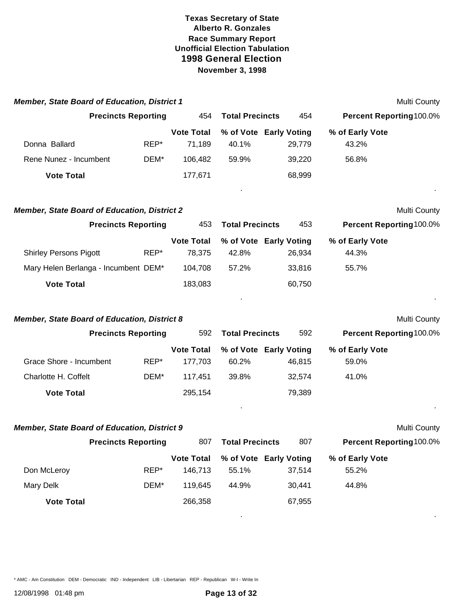| <b>Member, State Board of Education, District 1</b> |              |                                         |                                          |                  |                                   | Multi County        |
|-----------------------------------------------------|--------------|-----------------------------------------|------------------------------------------|------------------|-----------------------------------|---------------------|
| <b>Precincts Reporting</b>                          |              | 454                                     | <b>Total Precincts</b>                   | 454              | Percent Reporting 100.0%          |                     |
| Donna Ballard                                       | REP*         | <b>Vote Total</b><br>71,189             | % of Vote Early Voting<br>40.1%          | 29,779           | % of Early Vote<br>43.2%          |                     |
| Rene Nunez - Incumbent                              | DEM*         | 106,482                                 | 59.9%                                    | 39,220           | 56.8%                             |                     |
| <b>Vote Total</b>                                   |              | 177,671                                 |                                          | 68,999           |                                   |                     |
| <b>Member, State Board of Education, District 2</b> |              |                                         |                                          |                  |                                   | Multi County        |
| <b>Precincts Reporting</b>                          |              | 453                                     | <b>Total Precincts</b>                   | 453              | <b>Percent Reporting100.0%</b>    |                     |
| <b>Shirley Persons Pigott</b>                       | REP*         | <b>Vote Total</b><br>78,375             | % of Vote Early Voting<br>42.8%          | 26,934           | % of Early Vote<br>44.3%          |                     |
| Mary Helen Berlanga - Incumbent DEM*                |              | 104,708                                 | 57.2%                                    | 33,816           | 55.7%                             |                     |
| <b>Vote Total</b>                                   |              | 183,083                                 |                                          | 60,750           |                                   |                     |
| <b>Member, State Board of Education, District 8</b> |              |                                         |                                          |                  |                                   | Multi County        |
| <b>Precincts Reporting</b>                          |              | 592                                     | <b>Total Precincts</b>                   | 592              | <b>Percent Reporting100.0%</b>    |                     |
| Grace Shore - Incumbent<br>Charlotte H. Coffelt     | REP*<br>DEM* | <b>Vote Total</b><br>177,703<br>117,451 | % of Vote Early Voting<br>60.2%<br>39.8% | 46,815<br>32,574 | % of Early Vote<br>59.0%<br>41.0% |                     |
| <b>Vote Total</b>                                   |              | 295,154                                 |                                          | 79,389           |                                   |                     |
| Member, State Board of Education, District 9        |              |                                         |                                          |                  |                                   | <b>Multi County</b> |
| <b>Precincts Reporting</b>                          |              | 807                                     | <b>Total Precincts</b>                   | 807              | Percent Reporting100.0%           |                     |
| Don McLeroy                                         | REP*         | <b>Vote Total</b><br>146,713            | % of Vote Early Voting<br>55.1%          | 37,514           | % of Early Vote<br>55.2%          |                     |
| <b>Mary Delk</b>                                    | DEM*         | 119,645                                 | 44.9%                                    | 30,441           | 44.8%                             |                     |
| <b>Vote Total</b>                                   |              | 266,358                                 |                                          | 67,955           |                                   |                     |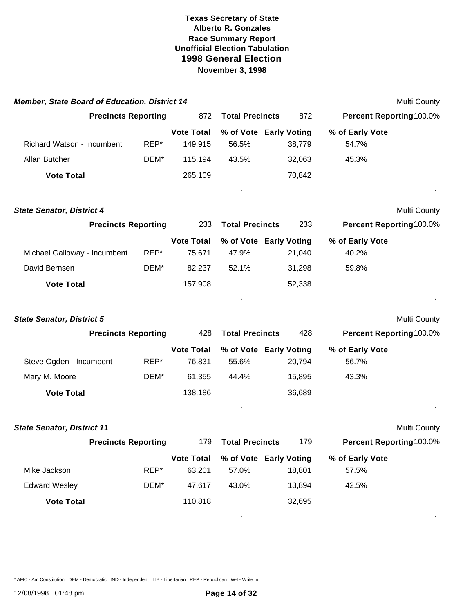| <b>Member, State Board of Education, District 14</b> |                            |                              |                                 |        |                                | Multi County |
|------------------------------------------------------|----------------------------|------------------------------|---------------------------------|--------|--------------------------------|--------------|
|                                                      | <b>Precincts Reporting</b> | 872                          | <b>Total Precincts</b>          | 872    | <b>Percent Reporting100.0%</b> |              |
| Richard Watson - Incumbent                           | REP*                       | <b>Vote Total</b><br>149,915 | % of Vote Early Voting<br>56.5% | 38,779 | % of Early Vote<br>54.7%       |              |
| Allan Butcher                                        | DEM*                       | 115,194                      | 43.5%                           | 32,063 | 45.3%                          |              |
| <b>Vote Total</b>                                    |                            | 265,109                      |                                 | 70,842 |                                |              |
|                                                      |                            |                              |                                 |        |                                |              |
| <b>State Senator, District 4</b>                     |                            |                              |                                 |        |                                | Multi County |
|                                                      | <b>Precincts Reporting</b> | 233                          | <b>Total Precincts</b>          | 233    | Percent Reporting100.0%        |              |
| Michael Galloway - Incumbent                         | REP*                       | <b>Vote Total</b><br>75,671  | % of Vote Early Voting<br>47.9% | 21,040 | % of Early Vote<br>40.2%       |              |
| David Bernsen                                        | DEM*                       | 82,237                       | 52.1%                           | 31,298 | 59.8%                          |              |
| <b>Vote Total</b>                                    |                            | 157,908                      |                                 | 52,338 |                                |              |
|                                                      |                            |                              |                                 |        |                                |              |
| <b>State Senator, District 5</b>                     |                            |                              |                                 |        |                                | Multi County |
|                                                      | <b>Precincts Reporting</b> | 428                          | <b>Total Precincts</b>          | 428    | <b>Percent Reporting100.0%</b> |              |
|                                                      |                            | <b>Vote Total</b>            | % of Vote Early Voting          |        | % of Early Vote                |              |
| Steve Ogden - Incumbent                              | REP*                       | 76,831                       | 55.6%                           | 20,794 | 56.7%                          |              |
| Mary M. Moore                                        | DEM*                       | 61,355                       | 44.4%                           | 15,895 | 43.3%                          |              |
| <b>Vote Total</b>                                    |                            | 138,186                      |                                 | 36,689 |                                |              |
|                                                      |                            |                              |                                 |        |                                |              |
| <b>State Senator, District 11</b>                    |                            |                              |                                 |        |                                | Multi County |
|                                                      | <b>Precincts Reporting</b> | 179                          | <b>Total Precincts</b>          | 179    | Percent Reporting100.0%        |              |
|                                                      |                            | <b>Vote Total</b>            | % of Vote Early Voting          |        | % of Early Vote                |              |
| Mike Jackson                                         | REP*                       | 63,201                       | 57.0%                           | 18,801 | 57.5%                          |              |
| <b>Edward Wesley</b>                                 | DEM*                       | 47,617                       | 43.0%                           | 13,894 | 42.5%                          |              |
| <b>Vote Total</b>                                    |                            | 110,818                      |                                 | 32,695 |                                |              |
|                                                      |                            |                              |                                 |        |                                |              |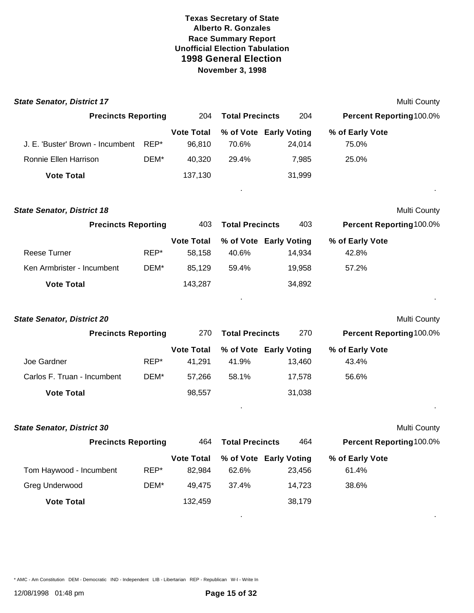| <b>State Senator, District 17</b> |      |                             |                                 |        |                          | Multi County |
|-----------------------------------|------|-----------------------------|---------------------------------|--------|--------------------------|--------------|
| <b>Precincts Reporting</b>        |      | 204                         | <b>Total Precincts</b>          | 204    | Percent Reporting100.0%  |              |
| J. E. 'Buster' Brown - Incumbent  | REP* | <b>Vote Total</b><br>96,810 | % of Vote Early Voting<br>70.6% | 24,014 | % of Early Vote<br>75.0% |              |
| Ronnie Ellen Harrison             | DEM* | 40,320                      | 29.4%                           | 7,985  | 25.0%                    |              |
| <b>Vote Total</b>                 |      | 137,130                     |                                 | 31,999 |                          |              |
| <b>State Senator, District 18</b> |      |                             |                                 |        |                          | Multi County |
| <b>Precincts Reporting</b>        |      | 403                         | <b>Total Precincts</b>          | 403    | Percent Reporting100.0%  |              |
| <b>Reese Turner</b>               | REP* | <b>Vote Total</b><br>58,158 | % of Vote Early Voting<br>40.6% | 14,934 | % of Early Vote<br>42.8% |              |
| Ken Armbrister - Incumbent        | DEM* | 85,129                      | 59.4%                           | 19,958 | 57.2%                    |              |
| <b>Vote Total</b>                 |      | 143,287                     |                                 | 34,892 |                          |              |
| <b>State Senator, District 20</b> |      |                             |                                 |        |                          | Multi County |
| <b>Precincts Reporting</b>        |      | 270                         | <b>Total Precincts</b>          | 270    | Percent Reporting100.0%  |              |
| Joe Gardner                       | REP* | <b>Vote Total</b><br>41,291 | % of Vote Early Voting<br>41.9% | 13,460 | % of Early Vote<br>43.4% |              |
| Carlos F. Truan - Incumbent       | DEM* | 57,266                      | 58.1%                           | 17,578 | 56.6%                    |              |
| <b>Vote Total</b>                 |      | 98,557                      |                                 | 31,038 |                          |              |
| <b>State Senator, District 30</b> |      |                             |                                 |        |                          | Multi County |
| <b>Precincts Reporting</b>        |      | 464                         | <b>Total Precincts</b>          | 464    | Percent Reporting100.0%  |              |
|                                   |      | <b>Vote Total</b>           | % of Vote Early Voting          |        | % of Early Vote          |              |
| Tom Haywood - Incumbent           | REP* | 82,984                      | 62.6%                           | 23,456 | 61.4%                    |              |
| Greg Underwood                    | DEM* | 49,475                      | 37.4%                           | 14,723 | 38.6%                    |              |
| <b>Vote Total</b>                 |      | 132,459                     |                                 | 38,179 |                          |              |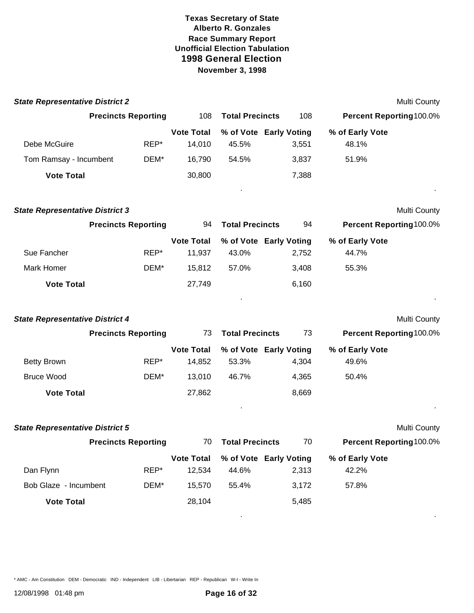| <b>State Representative District 2</b> |                            |                             |                                 |       |                          | <b>Multi County</b> |
|----------------------------------------|----------------------------|-----------------------------|---------------------------------|-------|--------------------------|---------------------|
|                                        | <b>Precincts Reporting</b> | 108                         | <b>Total Precincts</b>          | 108   | Percent Reporting 100.0% |                     |
| Debe McGuire                           | REP*                       | <b>Vote Total</b><br>14,010 | % of Vote Early Voting<br>45.5% | 3,551 | % of Early Vote<br>48.1% |                     |
| Tom Ramsay - Incumbent                 | DEM*                       | 16,790                      | 54.5%                           | 3,837 | 51.9%                    |                     |
| <b>Vote Total</b>                      |                            | 30,800                      |                                 | 7,388 |                          |                     |
| <b>State Representative District 3</b> |                            |                             |                                 |       |                          | <b>Multi County</b> |
|                                        | <b>Precincts Reporting</b> | 94                          | <b>Total Precincts</b>          | 94    | Percent Reporting100.0%  |                     |
| Sue Fancher                            | REP*                       | <b>Vote Total</b><br>11,937 | % of Vote Early Voting<br>43.0% | 2,752 | % of Early Vote<br>44.7% |                     |
| Mark Homer                             | DEM*                       | 15,812                      | 57.0%                           | 3,408 | 55.3%                    |                     |
| <b>Vote Total</b>                      |                            | 27,749                      |                                 | 6,160 |                          |                     |
| <b>State Representative District 4</b> |                            |                             |                                 |       |                          | <b>Multi County</b> |
|                                        | <b>Precincts Reporting</b> | 73                          | <b>Total Precincts</b>          | 73    | Percent Reporting100.0%  |                     |
|                                        |                            | <b>Vote Total</b>           | % of Vote Early Voting          |       | % of Early Vote          |                     |
| <b>Betty Brown</b>                     | REP*                       | 14,852                      | 53.3%                           | 4,304 | 49.6%                    |                     |
| <b>Bruce Wood</b>                      | DEM*                       | 13,010                      | 46.7%                           | 4,365 | 50.4%                    |                     |
| <b>Vote Total</b>                      |                            | 27,862                      |                                 | 8,669 |                          |                     |
| <b>State Representative District 5</b> |                            |                             |                                 |       |                          | <b>Multi County</b> |
|                                        | <b>Precincts Reporting</b> | 70                          | <b>Total Precincts</b>          | 70    | Percent Reporting100.0%  |                     |
|                                        |                            | <b>Vote Total</b>           | % of Vote Early Voting          |       | % of Early Vote          |                     |
| Dan Flynn                              | REP*                       | 12,534                      | 44.6%                           | 2,313 | 42.2%                    |                     |
| Bob Glaze - Incumbent                  | DEM*                       | 15,570                      | 55.4%                           | 3,172 | 57.8%                    |                     |
| <b>Vote Total</b>                      |                            | 28,104                      |                                 | 5,485 |                          |                     |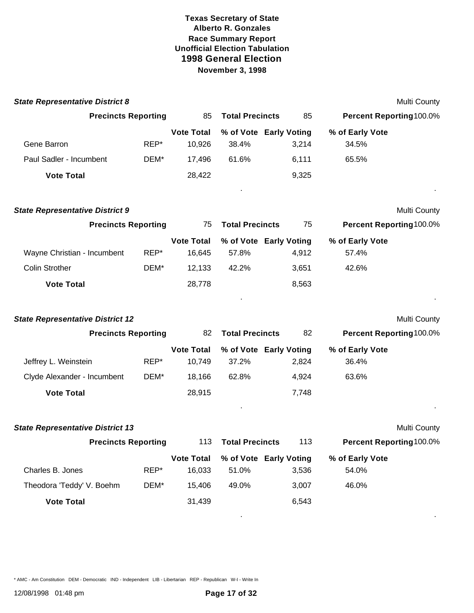| <b>State Representative District 8</b>  |      |                   |                        |       |                         | Multi County |
|-----------------------------------------|------|-------------------|------------------------|-------|-------------------------|--------------|
| <b>Precincts Reporting</b>              |      | 85                | <b>Total Precincts</b> | 85    | Percent Reporting100.0% |              |
|                                         |      | <b>Vote Total</b> | % of Vote Early Voting |       | % of Early Vote         |              |
| Gene Barron                             | REP* | 10,926            | 38.4%                  | 3,214 | 34.5%                   |              |
| Paul Sadler - Incumbent                 | DEM* | 17,496            | 61.6%                  | 6,111 | 65.5%                   |              |
| <b>Vote Total</b>                       |      | 28,422            |                        | 9,325 |                         |              |
| <b>State Representative District 9</b>  |      |                   |                        |       |                         | Multi County |
| <b>Precincts Reporting</b>              |      | 75                | <b>Total Precincts</b> | 75    | Percent Reporting100.0% |              |
|                                         |      | <b>Vote Total</b> | % of Vote Early Voting |       | % of Early Vote         |              |
| Wayne Christian - Incumbent             | REP* | 16,645            | 57.8%                  | 4,912 | 57.4%                   |              |
| <b>Colin Strother</b>                   | DEM* | 12,133            | 42.2%                  | 3,651 | 42.6%                   |              |
| <b>Vote Total</b>                       |      | 28,778            |                        | 8,563 |                         |              |
| <b>State Representative District 12</b> |      |                   |                        |       |                         | Multi County |
| <b>Precincts Reporting</b>              |      | 82                | <b>Total Precincts</b> | 82    | Percent Reporting100.0% |              |
|                                         |      | <b>Vote Total</b> | % of Vote Early Voting |       | % of Early Vote         |              |
| Jeffrey L. Weinstein                    | REP* | 10,749            | 37.2%                  | 2,824 | 36.4%                   |              |
| Clyde Alexander - Incumbent             | DEM* | 18,166            | 62.8%                  | 4,924 | 63.6%                   |              |
| <b>Vote Total</b>                       |      | 28,915            |                        | 7,748 |                         |              |
| <b>State Representative District 13</b> |      |                   |                        |       |                         | Multi County |
| <b>Precincts Reporting</b>              |      | 113               | <b>Total Precincts</b> | 113   | Percent Reporting100.0% |              |
|                                         |      | <b>Vote Total</b> | % of Vote Early Voting |       | % of Early Vote         |              |
| Charles B. Jones                        | REP* | 16,033            | 51.0%                  | 3,536 | 54.0%                   |              |
| Theodora 'Teddy' V. Boehm               | DEM* | 15,406            | 49.0%                  | 3,007 | 46.0%                   |              |
| <b>Vote Total</b>                       |      | 31,439            |                        | 6,543 |                         |              |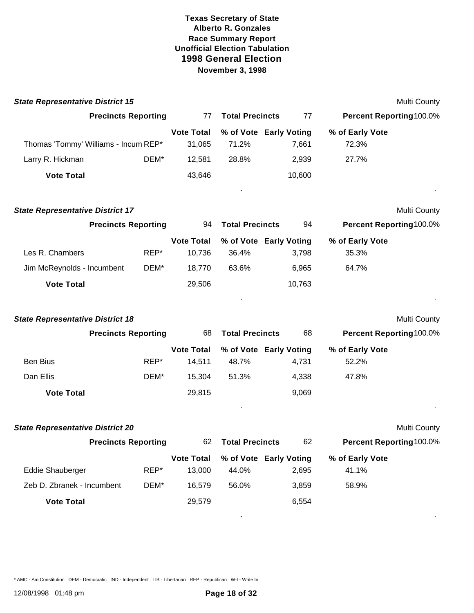| <b>State Representative District 15</b> |                            |                             |                        |                                 |                                | Multi County |
|-----------------------------------------|----------------------------|-----------------------------|------------------------|---------------------------------|--------------------------------|--------------|
|                                         | <b>Precincts Reporting</b> | 77                          | <b>Total Precincts</b> | 77                              | Percent Reporting100.0%        |              |
|                                         |                            | <b>Vote Total</b>           |                        | % of Vote Early Voting          | % of Early Vote                |              |
| Thomas 'Tommy' Williams - Incum REP*    |                            | 31,065                      | 71.2%                  | 7,661                           | 72.3%                          |              |
| Larry R. Hickman                        | DEM*                       | 12,581                      | 28.8%                  | 2,939                           | 27.7%                          |              |
| <b>Vote Total</b>                       |                            | 43,646                      |                        | 10,600                          |                                |              |
| <b>State Representative District 17</b> |                            |                             |                        |                                 |                                | Multi County |
|                                         | <b>Precincts Reporting</b> | 94                          | <b>Total Precincts</b> | 94                              | Percent Reporting100.0%        |              |
| Les R. Chambers                         | REP*                       | <b>Vote Total</b><br>10,736 | 36.4%                  | % of Vote Early Voting<br>3,798 | % of Early Vote<br>35.3%       |              |
| Jim McReynolds - Incumbent              | DEM*                       | 18,770                      | 63.6%                  | 6,965                           | 64.7%                          |              |
| <b>Vote Total</b>                       |                            | 29,506                      |                        | 10,763                          |                                |              |
|                                         |                            |                             |                        |                                 |                                |              |
| <b>State Representative District 18</b> |                            |                             |                        |                                 |                                | Multi County |
|                                         | <b>Precincts Reporting</b> | 68                          | <b>Total Precincts</b> | 68                              | Percent Reporting100.0%        |              |
|                                         |                            | <b>Vote Total</b>           |                        | % of Vote Early Voting          | % of Early Vote                |              |
| <b>Ben Bius</b>                         | REP*                       | 14,511                      | 48.7%                  | 4,731                           | 52.2%                          |              |
| Dan Ellis                               | DEM*                       | 15,304                      | 51.3%                  | 4,338                           | 47.8%                          |              |
| <b>Vote Total</b>                       |                            | 29,815                      |                        | 9,069                           |                                |              |
| <b>State Representative District 20</b> |                            |                             |                        |                                 |                                | Multi County |
|                                         | <b>Precincts Reporting</b> | 62                          | <b>Total Precincts</b> | 62                              | <b>Percent Reporting100.0%</b> |              |
|                                         |                            | <b>Vote Total</b>           |                        | % of Vote Early Voting          | % of Early Vote                |              |
| <b>Eddie Shauberger</b>                 | REP*                       | 13,000                      | 44.0%                  | 2,695                           | 41.1%                          |              |
| Zeb D. Zbranek - Incumbent              | DEM*                       | 16,579                      | 56.0%                  | 3,859                           | 58.9%                          |              |
| <b>Vote Total</b>                       |                            | 29,579                      |                        | 6,554                           |                                |              |
|                                         |                            |                             |                        |                                 |                                |              |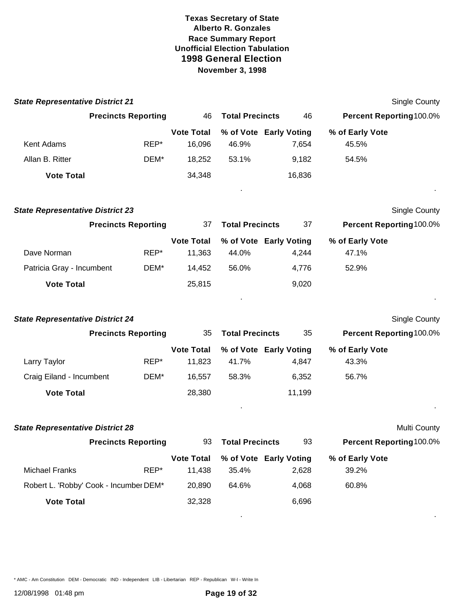| <b>State Representative District 21</b> |                            |                   |                        |                        |                         | Single County |
|-----------------------------------------|----------------------------|-------------------|------------------------|------------------------|-------------------------|---------------|
|                                         | <b>Precincts Reporting</b> | 46                | <b>Total Precincts</b> | 46                     | Percent Reporting100.0% |               |
|                                         |                            | <b>Vote Total</b> |                        | % of Vote Early Voting | % of Early Vote         |               |
| Kent Adams                              | REP*                       | 16,096            | 46.9%                  | 7,654                  | 45.5%                   |               |
| Allan B. Ritter                         | DEM*                       | 18,252            | 53.1%                  | 9,182                  | 54.5%                   |               |
| <b>Vote Total</b>                       |                            | 34,348            |                        | 16,836                 |                         |               |
| <b>State Representative District 23</b> |                            |                   |                        |                        |                         | Single County |
|                                         | <b>Precincts Reporting</b> | 37                | <b>Total Precincts</b> | 37                     | Percent Reporting100.0% |               |
|                                         |                            | <b>Vote Total</b> |                        | % of Vote Early Voting | % of Early Vote         |               |
| Dave Norman                             | REP*                       | 11,363            | 44.0%                  | 4,244                  | 47.1%                   |               |
| Patricia Gray - Incumbent               | DEM*                       | 14,452            | 56.0%                  | 4,776                  | 52.9%                   |               |
| <b>Vote Total</b>                       |                            | 25,815            |                        | 9,020                  |                         |               |
| <b>State Representative District 24</b> |                            |                   |                        |                        |                         | Single County |
|                                         | <b>Precincts Reporting</b> | 35                | <b>Total Precincts</b> | 35                     | Percent Reporting100.0% |               |
|                                         |                            | <b>Vote Total</b> |                        | % of Vote Early Voting | % of Early Vote         |               |
| Larry Taylor                            | REP*                       | 11,823            | 41.7%                  | 4,847                  | 43.3%                   |               |
| Craig Eiland - Incumbent                | DEM*                       | 16,557            | 58.3%                  | 6,352                  | 56.7%                   |               |
| <b>Vote Total</b>                       |                            | 28,380            |                        | 11,199                 |                         |               |
| <b>State Representative District 28</b> |                            |                   |                        |                        |                         | Multi County  |
|                                         | <b>Precincts Reporting</b> | 93                | <b>Total Precincts</b> | 93                     | Percent Reporting100.0% |               |
|                                         |                            | <b>Vote Total</b> |                        | % of Vote Early Voting | % of Early Vote         |               |
| <b>Michael Franks</b>                   | REP*                       | 11,438            | 35.4%                  | 2,628                  | 39.2%                   |               |
| Robert L. 'Robby' Cook - Incumber DEM*  |                            | 20,890            | 64.6%                  | 4,068                  | 60.8%                   |               |
| <b>Vote Total</b>                       |                            | 32,328            |                        | 6,696                  |                         |               |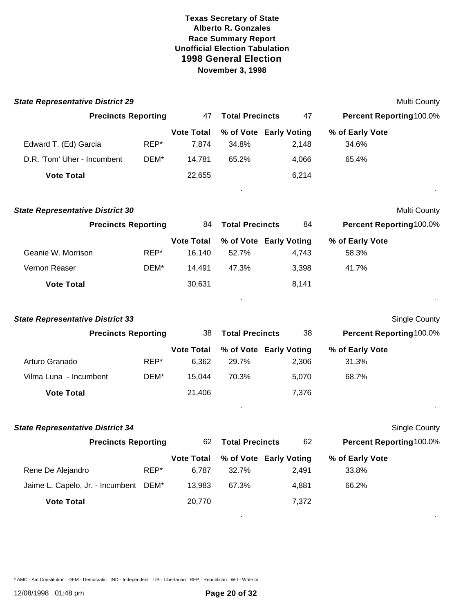| Multi County<br>Percent Reporting 100.0%<br>Multi County<br>Percent Reporting100.0% |
|-------------------------------------------------------------------------------------|
|                                                                                     |
|                                                                                     |
|                                                                                     |
|                                                                                     |
|                                                                                     |
|                                                                                     |
|                                                                                     |
|                                                                                     |
|                                                                                     |
|                                                                                     |
|                                                                                     |
|                                                                                     |
|                                                                                     |
| Single County                                                                       |
| Percent Reporting100.0%                                                             |
|                                                                                     |
|                                                                                     |
|                                                                                     |
|                                                                                     |
| Single County                                                                       |
| Percent Reporting100.0%                                                             |
|                                                                                     |
|                                                                                     |
|                                                                                     |
|                                                                                     |
|                                                                                     |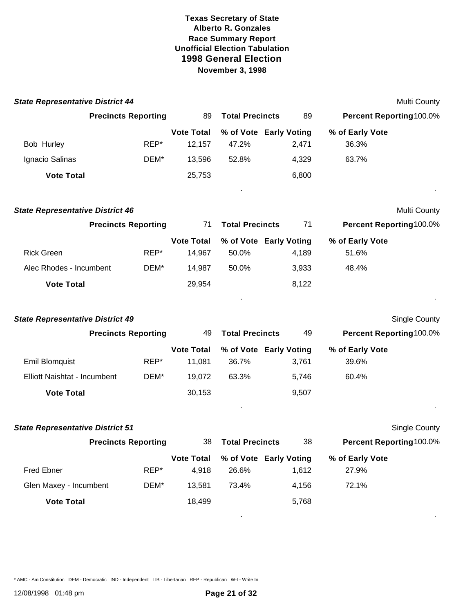| <b>State Representative District 44</b> |                            |                             |                                 |       | Multi County             |  |
|-----------------------------------------|----------------------------|-----------------------------|---------------------------------|-------|--------------------------|--|
|                                         | <b>Precincts Reporting</b> | 89                          | <b>Total Precincts</b>          | 89    | Percent Reporting100.0%  |  |
| Bob Hurley                              | REP*                       | <b>Vote Total</b><br>12,157 | % of Vote Early Voting<br>47.2% | 2,471 | % of Early Vote<br>36.3% |  |
| Ignacio Salinas                         | DEM*                       | 13,596                      | 52.8%                           | 4,329 | 63.7%                    |  |
| <b>Vote Total</b>                       |                            | 25,753                      |                                 | 6,800 |                          |  |
| <b>State Representative District 46</b> |                            |                             |                                 |       | Multi County             |  |
|                                         | <b>Precincts Reporting</b> | 71                          | <b>Total Precincts</b>          | 71    | Percent Reporting100.0%  |  |
|                                         |                            | <b>Vote Total</b>           | % of Vote Early Voting          |       | % of Early Vote          |  |
| <b>Rick Green</b>                       | REP*                       | 14,967                      | 50.0%                           | 4,189 | 51.6%                    |  |
| Alec Rhodes - Incumbent                 | DEM*                       | 14,987                      | 50.0%                           | 3,933 | 48.4%                    |  |
| <b>Vote Total</b>                       |                            | 29,954                      |                                 | 8,122 |                          |  |
| <b>State Representative District 49</b> |                            |                             |                                 |       | Single County            |  |
|                                         | <b>Precincts Reporting</b> | 49                          | <b>Total Precincts</b>          | 49    | Percent Reporting100.0%  |  |
|                                         |                            | <b>Vote Total</b>           | % of Vote Early Voting          |       | % of Early Vote          |  |
| <b>Emil Blomquist</b>                   | REP*                       | 11,081                      | 36.7%                           | 3,761 | 39.6%                    |  |
| Elliott Naishtat - Incumbent            | DEM*                       | 19,072                      | 63.3%                           | 5,746 | 60.4%                    |  |
| <b>Vote Total</b>                       |                            | 30,153                      |                                 | 9,507 |                          |  |
| <b>State Representative District 51</b> |                            |                             |                                 |       | Single County            |  |
|                                         | <b>Precincts Reporting</b> | 38                          | <b>Total Precincts</b>          | 38    | Percent Reporting100.0%  |  |
|                                         |                            | <b>Vote Total</b>           | % of Vote Early Voting          |       | % of Early Vote          |  |
| <b>Fred Ebner</b>                       | REP*                       | 4,918                       | 26.6%                           | 1,612 | 27.9%                    |  |
| Glen Maxey - Incumbent                  | DEM*                       | 13,581                      | 73.4%                           | 4,156 | 72.1%                    |  |
| <b>Vote Total</b>                       |                            | 18,499                      |                                 | 5,768 |                          |  |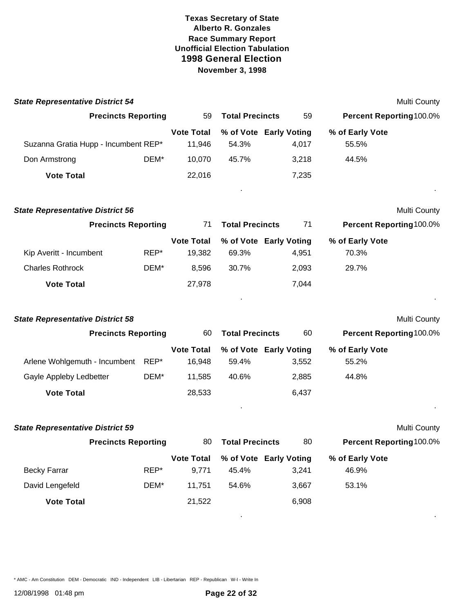| <b>State Representative District 54</b> |      |                   |                        |                        |                         | <b>Multi County</b> |
|-----------------------------------------|------|-------------------|------------------------|------------------------|-------------------------|---------------------|
| <b>Precincts Reporting</b>              |      | 59                | <b>Total Precincts</b> | 59                     | Percent Reporting100.0% |                     |
|                                         |      | <b>Vote Total</b> |                        | % of Vote Early Voting | % of Early Vote         |                     |
| Suzanna Gratia Hupp - Incumbent REP*    |      | 11,946            | 54.3%                  | 4,017                  | 55.5%                   |                     |
| Don Armstrong                           | DEM* | 10,070            | 45.7%                  | 3,218                  | 44.5%                   |                     |
| <b>Vote Total</b>                       |      | 22,016            |                        | 7,235                  |                         |                     |
| <b>State Representative District 56</b> |      |                   |                        |                        |                         | <b>Multi County</b> |
| <b>Precincts Reporting</b>              |      | 71                | <b>Total Precincts</b> | 71                     | Percent Reporting100.0% |                     |
|                                         |      | <b>Vote Total</b> |                        | % of Vote Early Voting | % of Early Vote         |                     |
| Kip Averitt - Incumbent                 | REP* | 19,382            | 69.3%                  | 4,951                  | 70.3%                   |                     |
| <b>Charles Rothrock</b>                 | DEM* | 8,596             | 30.7%                  | 2,093                  | 29.7%                   |                     |
| <b>Vote Total</b>                       |      | 27,978            |                        | 7,044                  |                         |                     |
| <b>State Representative District 58</b> |      |                   |                        |                        |                         | <b>Multi County</b> |
| <b>Precincts Reporting</b>              |      | 60                | <b>Total Precincts</b> | 60                     | Percent Reporting100.0% |                     |
|                                         |      | <b>Vote Total</b> |                        | % of Vote Early Voting | % of Early Vote         |                     |
| Arlene Wohlgemuth - Incumbent           | REP* | 16,948            | 59.4%                  | 3,552                  | 55.2%                   |                     |
| Gayle Appleby Ledbetter                 | DEM* | 11,585            | 40.6%                  | 2,885                  | 44.8%                   |                     |
| <b>Vote Total</b>                       |      | 28,533            |                        | 6,437                  |                         |                     |
| <b>State Representative District 59</b> |      |                   |                        |                        |                         | <b>Multi County</b> |
| <b>Precincts Reporting</b>              |      | 80                | <b>Total Precincts</b> | 80                     | Percent Reporting100.0% |                     |
|                                         |      | <b>Vote Total</b> |                        | % of Vote Early Voting | % of Early Vote         |                     |
| <b>Becky Farrar</b>                     | REP* | 9,771             | 45.4%                  | 3,241                  | 46.9%                   |                     |
| David Lengefeld                         | DEM* | 11,751            | 54.6%                  | 3,667                  | 53.1%                   |                     |
| <b>Vote Total</b>                       |      | 21,522            |                        | 6,908                  |                         |                     |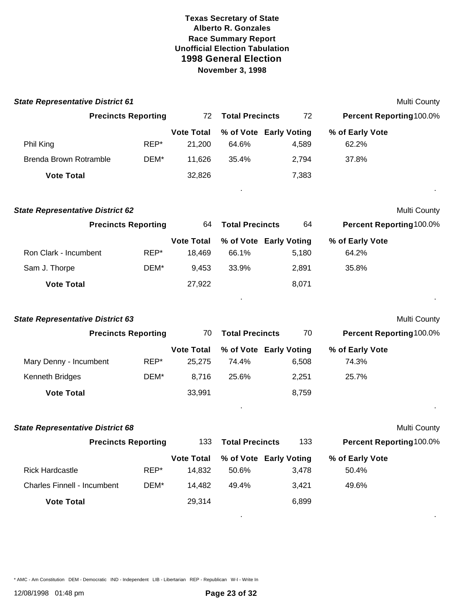| <b>State Representative District 61</b> |                            |                             |                        |                                 |                                | Multi County |
|-----------------------------------------|----------------------------|-----------------------------|------------------------|---------------------------------|--------------------------------|--------------|
|                                         | <b>Precincts Reporting</b> | 72                          | <b>Total Precincts</b> | 72                              | <b>Percent Reporting100.0%</b> |              |
| Phil King                               | REP*                       | <b>Vote Total</b><br>21,200 | 64.6%                  | % of Vote Early Voting<br>4,589 | % of Early Vote<br>62.2%       |              |
| Brenda Brown Rotramble                  | DEM*                       | 11,626                      | 35.4%                  | 2,794                           | 37.8%                          |              |
| <b>Vote Total</b>                       |                            | 32,826                      |                        | 7,383                           |                                |              |
| <b>State Representative District 62</b> |                            |                             |                        |                                 |                                | Multi County |
|                                         | <b>Precincts Reporting</b> | 64                          | <b>Total Precincts</b> | 64                              | Percent Reporting100.0%        |              |
|                                         |                            | <b>Vote Total</b>           |                        | % of Vote Early Voting          | % of Early Vote                |              |
| Ron Clark - Incumbent                   | REP*                       | 18,469                      | 66.1%                  | 5,180                           | 64.2%                          |              |
| Sam J. Thorpe                           | DEM*                       | 9,453                       | 33.9%                  | 2,891                           | 35.8%                          |              |
| <b>Vote Total</b>                       |                            | 27,922                      |                        | 8,071                           |                                |              |
| <b>State Representative District 63</b> |                            |                             |                        |                                 |                                | Multi County |
|                                         | <b>Precincts Reporting</b> | 70                          | <b>Total Precincts</b> | 70                              | <b>Percent Reporting100.0%</b> |              |
|                                         |                            | <b>Vote Total</b>           |                        | % of Vote Early Voting          | % of Early Vote                |              |
| Mary Denny - Incumbent                  | REP*                       | 25,275                      | 74.4%                  | 6,508                           | 74.3%                          |              |
| Kenneth Bridges                         | DEM*                       | 8,716                       | 25.6%                  | 2,251                           | 25.7%                          |              |
| <b>Vote Total</b>                       |                            | 33,991                      |                        | 8,759                           |                                |              |
| <b>State Representative District 68</b> |                            |                             |                        |                                 |                                | Multi County |
|                                         | <b>Precincts Reporting</b> | 133                         | <b>Total Precincts</b> | 133                             | <b>Percent Reporting100.0%</b> |              |
|                                         |                            | <b>Vote Total</b>           |                        | % of Vote Early Voting          | % of Early Vote                |              |
| <b>Rick Hardcastle</b>                  | REP*                       | 14,832                      | 50.6%                  | 3,478                           | 50.4%                          |              |
| <b>Charles Finnell - Incumbent</b>      | DEM*                       | 14,482                      | 49.4%                  | 3,421                           | 49.6%                          |              |
| <b>Vote Total</b>                       |                            | 29,314                      |                        | 6,899                           |                                |              |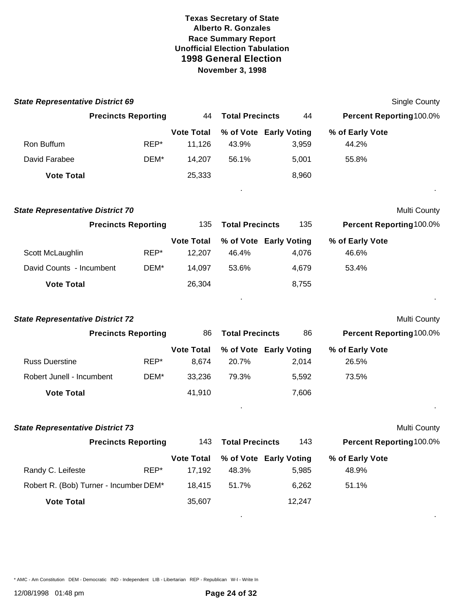| <b>State Representative District 69</b> |                            |                             |                        |                                 |                          | Single County       |
|-----------------------------------------|----------------------------|-----------------------------|------------------------|---------------------------------|--------------------------|---------------------|
|                                         | <b>Precincts Reporting</b> | 44                          | <b>Total Precincts</b> | 44                              | Percent Reporting100.0%  |                     |
| Ron Buffum                              | REP*                       | <b>Vote Total</b><br>11,126 | 43.9%                  | % of Vote Early Voting<br>3,959 | % of Early Vote<br>44.2% |                     |
| David Farabee                           | DEM*                       | 14,207                      | 56.1%                  | 5,001                           | 55.8%                    |                     |
| <b>Vote Total</b>                       |                            | 25,333                      |                        | 8,960                           |                          |                     |
| <b>State Representative District 70</b> |                            |                             |                        |                                 |                          | Multi County        |
|                                         | <b>Precincts Reporting</b> | 135                         | <b>Total Precincts</b> | 135                             | Percent Reporting100.0%  |                     |
| Scott McLaughlin                        | REP*                       | <b>Vote Total</b><br>12,207 | 46.4%                  | % of Vote Early Voting<br>4,076 | % of Early Vote<br>46.6% |                     |
| David Counts - Incumbent                | DEM*                       | 14,097                      | 53.6%                  | 4,679                           | 53.4%                    |                     |
| <b>Vote Total</b>                       |                            | 26,304                      |                        | 8,755                           |                          |                     |
| <b>State Representative District 72</b> |                            |                             |                        |                                 |                          | Multi County        |
|                                         | <b>Precincts Reporting</b> | 86                          | <b>Total Precincts</b> | 86                              | Percent Reporting100.0%  |                     |
| <b>Russ Duerstine</b>                   | REP*                       | <b>Vote Total</b><br>8,674  | 20.7%                  | % of Vote Early Voting<br>2,014 | % of Early Vote<br>26.5% |                     |
| Robert Junell - Incumbent               | DEM*                       | 33,236                      | 79.3%                  | 5,592                           | 73.5%                    |                     |
| <b>Vote Total</b>                       |                            | 41,910                      |                        | 7,606                           |                          |                     |
| <b>State Representative District 73</b> |                            |                             |                        |                                 |                          | <b>Multi County</b> |
|                                         | <b>Precincts Reporting</b> |                             | 143 Total Precincts    | 143                             | Percent Reporting100.0%  |                     |
| Randy C. Leifeste                       | REP*                       | <b>Vote Total</b><br>17,192 | 48.3%                  | % of Vote Early Voting<br>5,985 | % of Early Vote<br>48.9% |                     |
| Robert R. (Bob) Turner - Incumber DEM*  |                            | 18,415                      | 51.7%                  | 6,262                           | 51.1%                    |                     |
| <b>Vote Total</b>                       |                            | 35,607                      |                        | 12,247                          |                          |                     |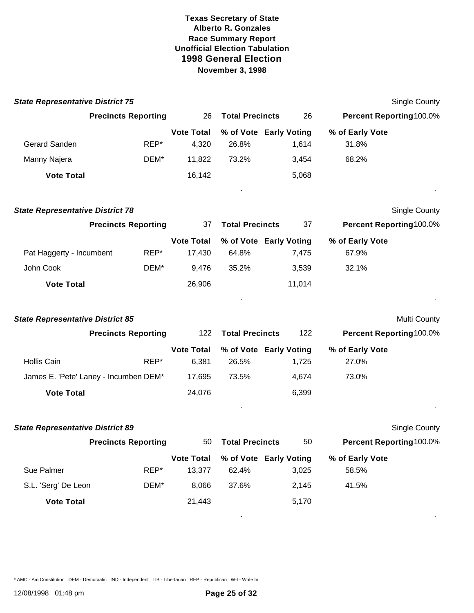| <b>State Representative District 75</b> |                                       |                   |                        |        | <b>Single County</b>    |
|-----------------------------------------|---------------------------------------|-------------------|------------------------|--------|-------------------------|
|                                         | <b>Precincts Reporting</b>            | 26                | <b>Total Precincts</b> | 26     | Percent Reporting100.0% |
|                                         |                                       | <b>Vote Total</b> | % of Vote Early Voting |        | % of Early Vote         |
| Gerard Sanden                           | REP*                                  | 4,320             | 26.8%                  | 1,614  | 31.8%                   |
| Manny Najera                            | DEM*                                  | 11,822            | 73.2%                  | 3,454  | 68.2%                   |
| <b>Vote Total</b>                       |                                       | 16,142            |                        | 5,068  |                         |
| <b>State Representative District 78</b> |                                       |                   |                        |        | Single County           |
|                                         | <b>Precincts Reporting</b>            | 37                | <b>Total Precincts</b> | 37     | Percent Reporting100.0% |
|                                         |                                       | <b>Vote Total</b> | % of Vote Early Voting |        | % of Early Vote         |
| Pat Haggerty - Incumbent                | REP*                                  | 17,430            | 64.8%                  | 7,475  | 67.9%                   |
| John Cook                               | DEM*                                  | 9,476             | 35.2%                  | 3,539  | 32.1%                   |
| <b>Vote Total</b>                       |                                       | 26,906            |                        | 11,014 |                         |
| <b>State Representative District 85</b> |                                       |                   |                        |        | Multi County            |
|                                         | <b>Precincts Reporting</b>            | 122               | <b>Total Precincts</b> | 122    | Percent Reporting100.0% |
|                                         |                                       | <b>Vote Total</b> | % of Vote Early Voting |        | % of Early Vote         |
| <b>Hollis Cain</b>                      | REP*                                  | 6,381             | 26.5%                  | 1,725  | 27.0%                   |
|                                         | James E. 'Pete' Laney - Incumben DEM* | 17,695            | 73.5%                  | 4,674  | 73.0%                   |
| <b>Vote Total</b>                       |                                       | 24,076            |                        | 6,399  |                         |
| <b>State Representative District 89</b> |                                       |                   |                        |        | Single County           |
|                                         | <b>Precincts Reporting</b>            | 50                | <b>Total Precincts</b> | 50     | Percent Reporting100.0% |
|                                         |                                       | <b>Vote Total</b> | % of Vote Early Voting |        | % of Early Vote         |
| Sue Palmer                              | REP*                                  | 13,377            | 62.4%                  | 3,025  | 58.5%                   |
| S.L. 'Serg' De Leon                     | DEM*                                  | 8,066             | 37.6%                  | 2,145  | 41.5%                   |
| <b>Vote Total</b>                       |                                       | 21,443            |                        | 5,170  |                         |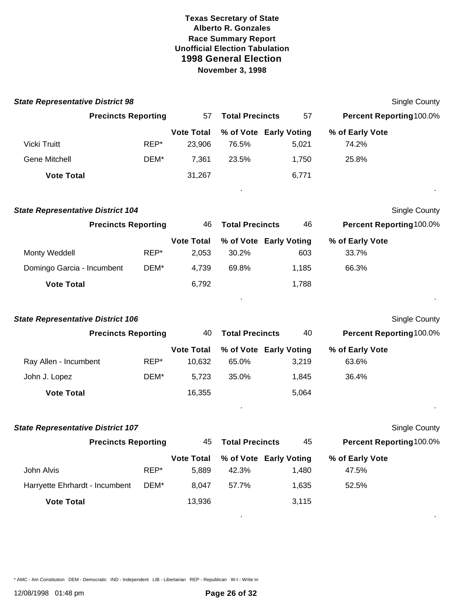| <b>State Representative District 98</b>  |      |                            |                        |                               |                          | <b>Single County</b> |
|------------------------------------------|------|----------------------------|------------------------|-------------------------------|--------------------------|----------------------|
| <b>Precincts Reporting</b>               |      | 57                         | <b>Total Precincts</b> | 57                            | Percent Reporting 100.0% |                      |
|                                          |      | <b>Vote Total</b>          |                        | % of Vote Early Voting        | % of Early Vote          |                      |
| Vicki Truitt                             | REP* | 23,906                     | 76.5%                  | 5,021                         | 74.2%                    |                      |
| <b>Gene Mitchell</b>                     | DEM* | 7,361                      | 23.5%                  | 1,750                         | 25.8%                    |                      |
| <b>Vote Total</b>                        |      | 31,267                     |                        | 6,771                         |                          |                      |
| <b>State Representative District 104</b> |      |                            |                        |                               |                          | <b>Single County</b> |
| <b>Precincts Reporting</b>               |      | 46                         | <b>Total Precincts</b> | 46                            | Percent Reporting100.0%  |                      |
| Monty Weddell                            | REP* | <b>Vote Total</b><br>2,053 | 30.2%                  | % of Vote Early Voting<br>603 | % of Early Vote<br>33.7% |                      |
| Domingo Garcia - Incumbent               | DEM* | 4,739                      | 69.8%                  | 1,185                         | 66.3%                    |                      |
| <b>Vote Total</b>                        |      | 6,792                      |                        | 1,788                         |                          |                      |
| <b>State Representative District 106</b> |      |                            |                        |                               |                          | <b>Single County</b> |
| <b>Precincts Reporting</b>               |      | 40                         | <b>Total Precincts</b> | 40                            | Percent Reporting100.0%  |                      |
|                                          |      | <b>Vote Total</b>          |                        | % of Vote Early Voting        | % of Early Vote          |                      |
| Ray Allen - Incumbent                    | REP* | 10,632                     | 65.0%                  | 3,219                         | 63.6%                    |                      |
| John J. Lopez                            | DEM* | 5,723                      | 35.0%                  | 1,845                         | 36.4%                    |                      |
| <b>Vote Total</b>                        |      | 16,355                     |                        | 5,064                         |                          |                      |
| <b>State Representative District 107</b> |      |                            |                        |                               |                          | <b>Single County</b> |
| <b>Precincts Reporting</b>               |      | 45                         | <b>Total Precincts</b> | 45                            | Percent Reporting100.0%  |                      |
|                                          |      | <b>Vote Total</b>          |                        | % of Vote Early Voting        | % of Early Vote          |                      |
| John Alvis                               | REP* | 5,889                      | 42.3%                  | 1,480                         | 47.5%                    |                      |
| Harryette Ehrhardt - Incumbent           | DEM* | 8,047                      | 57.7%                  | 1,635                         | 52.5%                    |                      |
| <b>Vote Total</b>                        |      | 13,936                     |                        | 3,115                         |                          |                      |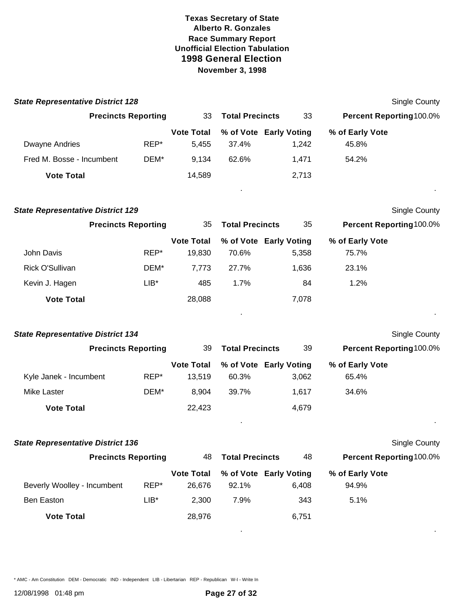| <b>State Representative District 128</b> |         |                             |                        |                                 |                                | <b>Single County</b> |
|------------------------------------------|---------|-----------------------------|------------------------|---------------------------------|--------------------------------|----------------------|
| <b>Precincts Reporting</b>               |         | 33                          | <b>Total Precincts</b> | 33                              | <b>Percent Reporting100.0%</b> |                      |
| <b>Dwayne Andries</b>                    | REP*    | <b>Vote Total</b><br>5,455  | 37.4%                  | % of Vote Early Voting<br>1,242 | % of Early Vote<br>45.8%       |                      |
| Fred M. Bosse - Incumbent                | DEM*    | 9,134                       | 62.6%                  | 1,471                           | 54.2%                          |                      |
| <b>Vote Total</b>                        |         | 14,589                      |                        | 2,713                           |                                |                      |
| <b>State Representative District 129</b> |         |                             |                        |                                 |                                | <b>Single County</b> |
| <b>Precincts Reporting</b>               |         | 35                          | <b>Total Precincts</b> | 35                              | Percent Reporting100.0%        |                      |
| John Davis                               | REP*    | <b>Vote Total</b><br>19,830 | 70.6%                  | % of Vote Early Voting<br>5,358 | % of Early Vote<br>75.7%       |                      |
| Rick O'Sullivan                          | DEM*    | 7,773                       | 27.7%                  | 1,636                           | 23.1%                          |                      |
| Kevin J. Hagen                           | $LIB^*$ | 485                         | 1.7%                   | 84                              | 1.2%                           |                      |
| <b>Vote Total</b>                        |         | 28,088                      |                        | 7,078                           |                                |                      |
|                                          |         |                             |                        |                                 |                                |                      |
| <b>State Representative District 134</b> |         |                             |                        |                                 |                                | <b>Single County</b> |
| <b>Precincts Reporting</b>               |         | 39                          | <b>Total Precincts</b> | 39                              | Percent Reporting 100.0%       |                      |
|                                          |         | <b>Vote Total</b>           |                        | % of Vote Early Voting          | % of Early Vote                |                      |
| Kyle Janek - Incumbent                   | REP*    | 13,519                      | 60.3%                  | 3,062                           | 65.4%                          |                      |
| Mike Laster                              | DEM*    | 8,904                       | 39.7%                  | 1,617                           | 34.6%                          |                      |
| <b>Vote Total</b>                        |         | 22,423                      |                        | 4,679                           |                                |                      |
| <b>State Representative District 136</b> |         |                             |                        |                                 |                                | Single County        |
| <b>Precincts Reporting</b>               |         | 48                          | <b>Total Precincts</b> | 48                              | Percent Reporting100.0%        |                      |
|                                          |         | <b>Vote Total</b>           |                        | % of Vote Early Voting          | % of Early Vote                |                      |
| Beverly Woolley - Incumbent              | REP*    | 26,676                      | 92.1%                  | 6,408                           | 94.9%                          |                      |
| Ben Easton                               | LIB*    | 2,300                       | 7.9%                   | 343                             | 5.1%                           |                      |
| <b>Vote Total</b>                        |         | 28,976                      |                        | 6,751                           |                                |                      |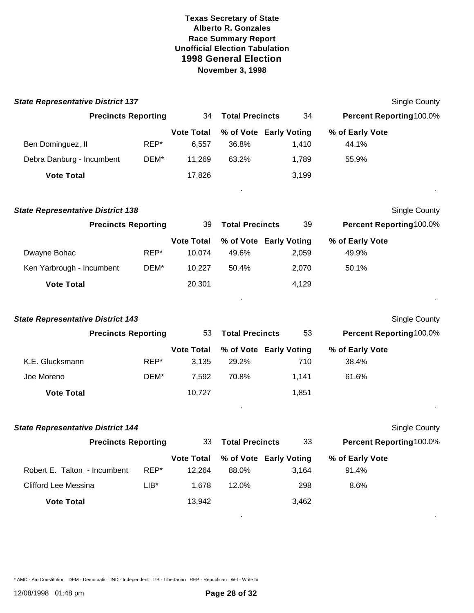| <b>State Representative District 137</b> |         |                             |                        |                                 |                          | <b>Single County</b> |
|------------------------------------------|---------|-----------------------------|------------------------|---------------------------------|--------------------------|----------------------|
| <b>Precincts Reporting</b>               |         | 34                          | <b>Total Precincts</b> | 34                              | Percent Reporting 100.0% |                      |
| Ben Dominguez, II                        | REP*    | <b>Vote Total</b><br>6,557  | 36.8%                  | % of Vote Early Voting<br>1,410 | % of Early Vote<br>44.1% |                      |
| Debra Danburg - Incumbent                | DEM*    | 11,269                      | 63.2%                  | 1,789                           | 55.9%                    |                      |
| <b>Vote Total</b>                        |         | 17,826                      |                        | 3,199                           |                          |                      |
| <b>State Representative District 138</b> |         |                             |                        |                                 |                          | Single County        |
| <b>Precincts Reporting</b>               |         | 39                          | <b>Total Precincts</b> | 39                              | Percent Reporting100.0%  |                      |
| Dwayne Bohac                             | REP*    | <b>Vote Total</b><br>10,074 | 49.6%                  | % of Vote Early Voting<br>2,059 | % of Early Vote<br>49.9% |                      |
| Ken Yarbrough - Incumbent                | DEM*    | 10,227                      | 50.4%                  | 2,070                           | 50.1%                    |                      |
| <b>Vote Total</b>                        |         | 20,301                      |                        | 4,129                           |                          |                      |
| <b>State Representative District 143</b> |         |                             |                        |                                 |                          | Single County        |
| <b>Precincts Reporting</b>               |         | 53                          | <b>Total Precincts</b> | 53                              | Percent Reporting100.0%  |                      |
| K.E. Glucksmann                          | REP*    | <b>Vote Total</b><br>3,135  | 29.2%                  | % of Vote Early Voting<br>710   | % of Early Vote<br>38.4% |                      |
| Joe Moreno                               | DEM*    | 7,592                       | 70.8%                  | 1,141                           | 61.6%                    |                      |
| <b>Vote Total</b>                        |         | 10,727                      |                        | 1,851                           |                          |                      |
| <b>State Representative District 144</b> |         |                             |                        |                                 |                          | Single County        |
| <b>Precincts Reporting</b>               |         | 33                          | <b>Total Precincts</b> | 33                              | Percent Reporting100.0%  |                      |
| Robert E. Talton - Incumbent             | REP*    | <b>Vote Total</b><br>12,264 | 88.0%                  | % of Vote Early Voting<br>3,164 | % of Early Vote<br>91.4% |                      |
| <b>Clifford Lee Messina</b>              | $LIB^*$ | 1,678                       | 12.0%                  | 298                             | 8.6%                     |                      |
| <b>Vote Total</b>                        |         | 13,942                      |                        | 3,462                           |                          |                      |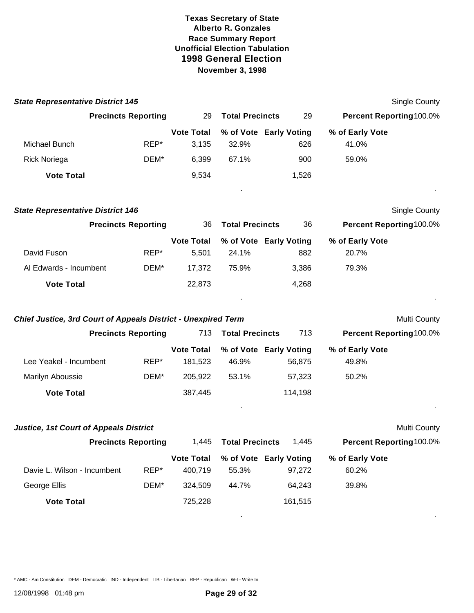**State Representative District 145** Single County

|                                                                      | <b>Precincts Reporting</b> | 29                           | <b>Total Precincts</b> | 29                               | Percent Reporting100.0%  |                      |
|----------------------------------------------------------------------|----------------------------|------------------------------|------------------------|----------------------------------|--------------------------|----------------------|
|                                                                      |                            | <b>Vote Total</b>            |                        | % of Vote Early Voting           | % of Early Vote          |                      |
| Michael Bunch                                                        | REP*                       | 3,135                        | 32.9%                  | 626                              | 41.0%                    |                      |
| <b>Rick Noriega</b>                                                  | DEM*                       | 6,399                        | 67.1%                  | 900                              | 59.0%                    |                      |
| <b>Vote Total</b>                                                    |                            | 9,534                        |                        | 1,526                            |                          |                      |
| <b>State Representative District 146</b>                             |                            |                              |                        |                                  |                          | <b>Single County</b> |
|                                                                      | <b>Precincts Reporting</b> | 36                           | <b>Total Precincts</b> | 36                               | Percent Reporting100.0%  |                      |
| David Fuson                                                          | REP*                       | <b>Vote Total</b><br>5,501   | 24.1%                  | % of Vote Early Voting<br>882    | % of Early Vote<br>20.7% |                      |
| Al Edwards - Incumbent                                               | DEM*                       | 17,372                       | 75.9%                  | 3,386                            | 79.3%                    |                      |
| <b>Vote Total</b>                                                    |                            | 22,873                       |                        | 4,268                            |                          |                      |
| <b>Chief Justice, 3rd Court of Appeals District - Unexpired Term</b> |                            |                              |                        |                                  |                          | Multi County         |
|                                                                      | <b>Precincts Reporting</b> | 713                          | <b>Total Precincts</b> | 713                              | Percent Reporting100.0%  |                      |
|                                                                      |                            | <b>Vote Total</b>            |                        | % of Vote Early Voting           | % of Early Vote          |                      |
| Lee Yeakel - Incumbent                                               | REP*                       | 181,523                      | 46.9%                  | 56,875                           | 49.8%                    |                      |
| Marilyn Aboussie                                                     | DEM*                       | 205,922                      | 53.1%                  | 57,323                           | 50.2%                    |                      |
| <b>Vote Total</b>                                                    |                            | 387,445                      |                        | 114,198                          |                          |                      |
| <b>Justice, 1st Court of Appeals District</b>                        |                            |                              |                        |                                  |                          | Multi County         |
| <b>Precincts Reporting</b>                                           |                            | 1,445                        | <b>Total Precincts</b> | 1,445                            | Percent Reporting100.0%  |                      |
| Davie L. Wilson - Incumbent                                          | REP*                       | <b>Vote Total</b><br>400,719 | 55.3%                  | % of Vote Early Voting<br>97,272 | % of Early Vote<br>60.2% |                      |
| George Ellis                                                         | DEM*                       | 324,509                      | 44.7%                  | 64,243                           | 39.8%                    |                      |
| <b>Vote Total</b>                                                    |                            | 725,228                      |                        | 161,515                          |                          |                      |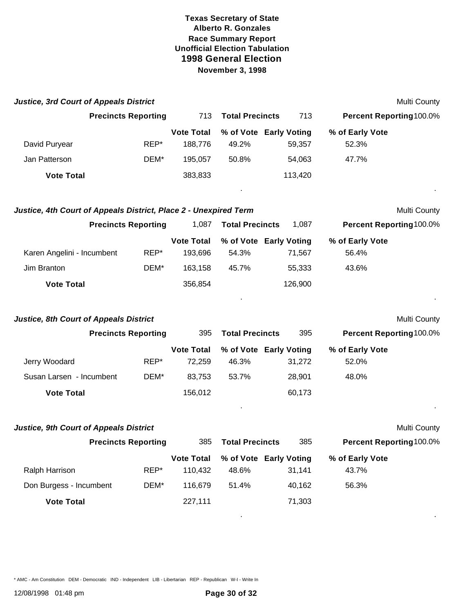| 713<br>713<br><b>Precincts Reporting</b><br><b>Total Precincts</b><br>Percent Reporting100.0%<br><b>Vote Total</b><br>% of Vote Early Voting<br>% of Early Vote<br>REP*<br>52.3%<br>David Puryear<br>188,776<br>49.2%<br>59,357<br>47.7%<br>Jan Patterson<br>DEM*<br>195,057<br>50.8%<br>54,063<br><b>Vote Total</b><br>383,833<br>113,420<br>Justice, 4th Court of Appeals District, Place 2 - Unexpired Term<br>Multi County<br><b>Precincts Reporting</b><br><b>Total Precincts</b><br>Percent Reporting100.0%<br>1,087<br>1,087<br><b>Vote Total</b><br>% of Vote Early Voting<br>% of Early Vote<br>Karen Angelini - Incumbent<br>REP*<br>193,696<br>54.3%<br>71,567<br>56.4%<br>Jim Branton<br>DEM*<br>45.7%<br>163,158<br>55,333<br>43.6%<br>356,854<br>126,900<br><b>Vote Total</b><br><b>Justice, 8th Court of Appeals District</b><br><b>Precincts Reporting</b><br>395<br><b>Total Precincts</b><br>395<br>Percent Reporting100.0%<br><b>Vote Total</b><br>% of Vote Early Voting<br>% of Early Vote<br>Jerry Woodard<br>REP*<br>52.0%<br>72,259<br>46.3%<br>31,272<br>Susan Larsen - Incumbent<br>DEM*<br>83,753<br>53.7%<br>28,901<br>48.0%<br><b>Vote Total</b><br>156,012<br>60,173<br><b>Justice, 9th Court of Appeals District</b><br>Multi County<br>385<br><b>Precincts Reporting</b><br>385<br>Percent Reporting100.0%<br><b>Total Precincts</b> | <b>Justice, 3rd Court of Appeals District</b> |  |  |  | Multi County |
|----------------------------------------------------------------------------------------------------------------------------------------------------------------------------------------------------------------------------------------------------------------------------------------------------------------------------------------------------------------------------------------------------------------------------------------------------------------------------------------------------------------------------------------------------------------------------------------------------------------------------------------------------------------------------------------------------------------------------------------------------------------------------------------------------------------------------------------------------------------------------------------------------------------------------------------------------------------------------------------------------------------------------------------------------------------------------------------------------------------------------------------------------------------------------------------------------------------------------------------------------------------------------------------------------------------------------------------------------------------------|-----------------------------------------------|--|--|--|--------------|
|                                                                                                                                                                                                                                                                                                                                                                                                                                                                                                                                                                                                                                                                                                                                                                                                                                                                                                                                                                                                                                                                                                                                                                                                                                                                                                                                                                      |                                               |  |  |  |              |
|                                                                                                                                                                                                                                                                                                                                                                                                                                                                                                                                                                                                                                                                                                                                                                                                                                                                                                                                                                                                                                                                                                                                                                                                                                                                                                                                                                      |                                               |  |  |  |              |
|                                                                                                                                                                                                                                                                                                                                                                                                                                                                                                                                                                                                                                                                                                                                                                                                                                                                                                                                                                                                                                                                                                                                                                                                                                                                                                                                                                      |                                               |  |  |  |              |
|                                                                                                                                                                                                                                                                                                                                                                                                                                                                                                                                                                                                                                                                                                                                                                                                                                                                                                                                                                                                                                                                                                                                                                                                                                                                                                                                                                      |                                               |  |  |  |              |
|                                                                                                                                                                                                                                                                                                                                                                                                                                                                                                                                                                                                                                                                                                                                                                                                                                                                                                                                                                                                                                                                                                                                                                                                                                                                                                                                                                      |                                               |  |  |  |              |
|                                                                                                                                                                                                                                                                                                                                                                                                                                                                                                                                                                                                                                                                                                                                                                                                                                                                                                                                                                                                                                                                                                                                                                                                                                                                                                                                                                      |                                               |  |  |  |              |
|                                                                                                                                                                                                                                                                                                                                                                                                                                                                                                                                                                                                                                                                                                                                                                                                                                                                                                                                                                                                                                                                                                                                                                                                                                                                                                                                                                      |                                               |  |  |  |              |
|                                                                                                                                                                                                                                                                                                                                                                                                                                                                                                                                                                                                                                                                                                                                                                                                                                                                                                                                                                                                                                                                                                                                                                                                                                                                                                                                                                      |                                               |  |  |  |              |
|                                                                                                                                                                                                                                                                                                                                                                                                                                                                                                                                                                                                                                                                                                                                                                                                                                                                                                                                                                                                                                                                                                                                                                                                                                                                                                                                                                      |                                               |  |  |  |              |
|                                                                                                                                                                                                                                                                                                                                                                                                                                                                                                                                                                                                                                                                                                                                                                                                                                                                                                                                                                                                                                                                                                                                                                                                                                                                                                                                                                      |                                               |  |  |  |              |
|                                                                                                                                                                                                                                                                                                                                                                                                                                                                                                                                                                                                                                                                                                                                                                                                                                                                                                                                                                                                                                                                                                                                                                                                                                                                                                                                                                      |                                               |  |  |  |              |
|                                                                                                                                                                                                                                                                                                                                                                                                                                                                                                                                                                                                                                                                                                                                                                                                                                                                                                                                                                                                                                                                                                                                                                                                                                                                                                                                                                      |                                               |  |  |  | Multi County |
|                                                                                                                                                                                                                                                                                                                                                                                                                                                                                                                                                                                                                                                                                                                                                                                                                                                                                                                                                                                                                                                                                                                                                                                                                                                                                                                                                                      |                                               |  |  |  |              |
|                                                                                                                                                                                                                                                                                                                                                                                                                                                                                                                                                                                                                                                                                                                                                                                                                                                                                                                                                                                                                                                                                                                                                                                                                                                                                                                                                                      |                                               |  |  |  |              |
|                                                                                                                                                                                                                                                                                                                                                                                                                                                                                                                                                                                                                                                                                                                                                                                                                                                                                                                                                                                                                                                                                                                                                                                                                                                                                                                                                                      |                                               |  |  |  |              |
|                                                                                                                                                                                                                                                                                                                                                                                                                                                                                                                                                                                                                                                                                                                                                                                                                                                                                                                                                                                                                                                                                                                                                                                                                                                                                                                                                                      |                                               |  |  |  |              |
|                                                                                                                                                                                                                                                                                                                                                                                                                                                                                                                                                                                                                                                                                                                                                                                                                                                                                                                                                                                                                                                                                                                                                                                                                                                                                                                                                                      |                                               |  |  |  |              |
|                                                                                                                                                                                                                                                                                                                                                                                                                                                                                                                                                                                                                                                                                                                                                                                                                                                                                                                                                                                                                                                                                                                                                                                                                                                                                                                                                                      |                                               |  |  |  |              |
|                                                                                                                                                                                                                                                                                                                                                                                                                                                                                                                                                                                                                                                                                                                                                                                                                                                                                                                                                                                                                                                                                                                                                                                                                                                                                                                                                                      |                                               |  |  |  |              |
|                                                                                                                                                                                                                                                                                                                                                                                                                                                                                                                                                                                                                                                                                                                                                                                                                                                                                                                                                                                                                                                                                                                                                                                                                                                                                                                                                                      |                                               |  |  |  |              |
| <b>Vote Total</b><br>% of Vote Early Voting<br>% of Early Vote<br>REP*<br>Ralph Harrison<br>110,432<br>48.6%<br>31,141<br>43.7%                                                                                                                                                                                                                                                                                                                                                                                                                                                                                                                                                                                                                                                                                                                                                                                                                                                                                                                                                                                                                                                                                                                                                                                                                                      |                                               |  |  |  |              |
| 40,162<br>Don Burgess - Incumbent<br>DEM*<br>116,679<br>51.4%<br>56.3%                                                                                                                                                                                                                                                                                                                                                                                                                                                                                                                                                                                                                                                                                                                                                                                                                                                                                                                                                                                                                                                                                                                                                                                                                                                                                               |                                               |  |  |  |              |
|                                                                                                                                                                                                                                                                                                                                                                                                                                                                                                                                                                                                                                                                                                                                                                                                                                                                                                                                                                                                                                                                                                                                                                                                                                                                                                                                                                      |                                               |  |  |  |              |
| 71,303<br><b>Vote Total</b><br>227,111                                                                                                                                                                                                                                                                                                                                                                                                                                                                                                                                                                                                                                                                                                                                                                                                                                                                                                                                                                                                                                                                                                                                                                                                                                                                                                                               |                                               |  |  |  |              |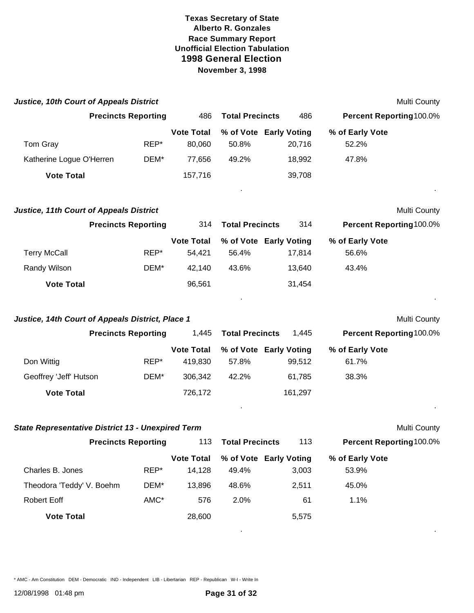| <b>Justice, 10th Court of Appeals District</b>           |                            |                              |                        |                                  |                                | Multi County        |
|----------------------------------------------------------|----------------------------|------------------------------|------------------------|----------------------------------|--------------------------------|---------------------|
| <b>Precincts Reporting</b>                               |                            | 486                          | <b>Total Precincts</b> | 486                              | Percent Reporting 100.0%       |                     |
| Tom Gray                                                 | REP*                       | <b>Vote Total</b><br>80,060  | 50.8%                  | % of Vote Early Voting<br>20,716 | % of Early Vote<br>52.2%       |                     |
| Katherine Logue O'Herren                                 | DEM*                       | 77,656                       | 49.2%                  | 18,992                           | 47.8%                          |                     |
| <b>Vote Total</b>                                        |                            | 157,716                      |                        | 39,708                           |                                |                     |
| <b>Justice, 11th Court of Appeals District</b>           |                            |                              |                        |                                  |                                | Multi County        |
|                                                          | <b>Precincts Reporting</b> | 314                          | <b>Total Precincts</b> | 314                              | Percent Reporting100.0%        |                     |
| <b>Terry McCall</b>                                      | REP*                       | <b>Vote Total</b><br>54,421  | 56.4%                  | % of Vote Early Voting<br>17,814 | % of Early Vote<br>56.6%       |                     |
| Randy Wilson                                             | DEM*                       | 42,140                       | 43.6%                  | 13,640                           | 43.4%                          |                     |
| <b>Vote Total</b>                                        |                            | 96,561                       |                        | 31,454                           |                                |                     |
| Justice, 14th Court of Appeals District, Place 1         |                            |                              |                        |                                  |                                | Multi County        |
|                                                          | <b>Precincts Reporting</b> | 1,445                        | <b>Total Precincts</b> | 1,445                            | Percent Reporting 100.0%       |                     |
| Don Wittig                                               | REP*                       | <b>Vote Total</b><br>419,830 | 57.8%                  | % of Vote Early Voting<br>99,512 | % of Early Vote<br>61.7%       |                     |
| Geoffrey 'Jeff' Hutson                                   | DEM*                       | 306,342                      | 42.2%                  | 61,785                           | 38.3%                          |                     |
| <b>Vote Total</b>                                        |                            | 726,172                      |                        | 161,297                          |                                |                     |
| <b>State Representative District 13 - Unexpired Term</b> |                            |                              |                        |                                  |                                | <b>Multi County</b> |
| <b>Precincts Reporting</b>                               |                            |                              | 113 Total Precincts    | 113                              | <b>Percent Reporting100.0%</b> |                     |
| Charles B. Jones                                         | REP*                       | <b>Vote Total</b><br>14,128  | 49.4%                  | % of Vote Early Voting<br>3,003  | % of Early Vote<br>53.9%       |                     |
| Theodora 'Teddy' V. Boehm                                | DEM*                       | 13,896                       | 48.6%                  | 2,511                            | 45.0%                          |                     |
| Robert Eoff                                              | AMC*                       | 576                          | 2.0%                   | 61                               | 1.1%                           |                     |
| <b>Vote Total</b>                                        |                            | 28,600                       |                        | 5,575                            |                                |                     |